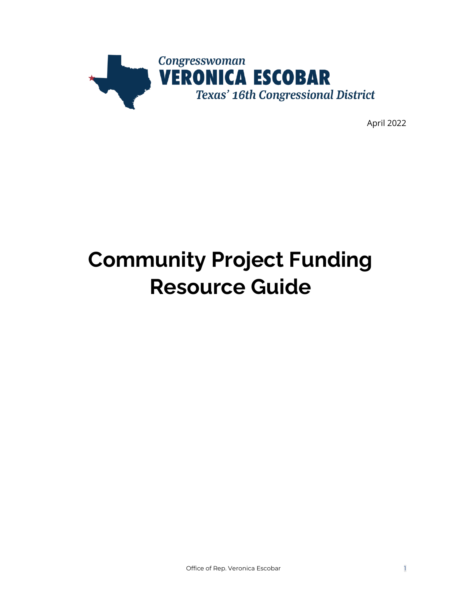

April 2022

# **Community Project Funding Resource Guide**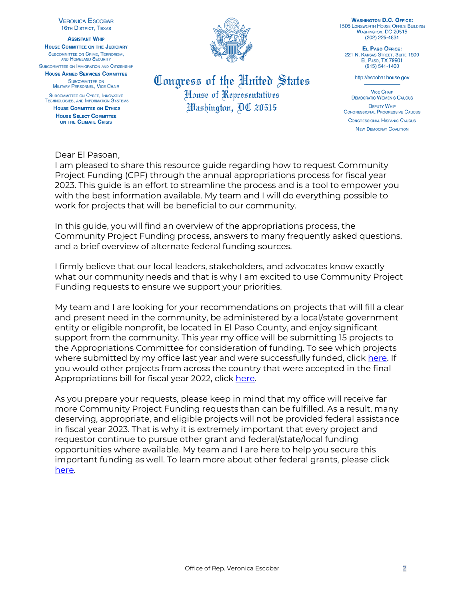**VERONICA ESCOBAR 16TH DISTRICT, TEXAS** 

**ASSISTANT WHIP HOUSE COMMITTEE ON THE JUDICIARY** SUBCOMMITTEE ON CRIME, TERRORISM, AND HOMELAND SECURITY

SUBCOMMITTEE ON IMMIGRATION AND CITIZENSHIP **HOUSE ARMED SERVICES COMMITTEE** 

**SUBCOMMITTEE ON** MILITARY PERSONNEL, VICE CHAIR

**SUBCOMMITTEE ON CYBER, INNOVATIVE** TECHNOLOGIES, AND INFORMATION SYSTEMS **HOUSE COMMITTEE ON ETHICS** 

**HOUSE SELECT COMMITTEE** ON THE CLIMATE CRISIS

#### Dear El Pasoan,

# Congress of the United States House of Representatives Washington, *AC 20515*

**WASHINGTON D.C. OFFICE: 1505 LONGWORTH HOUSE OFFICE BUILDING WASHINGTON, DC 20515** (202) 225-4831

EL PASO OFFICE: 221 N. KANSAS STREET, SUITE 1500 EL PASO, TX 79901  $(915) 541 - 1400$ 

http://escobar.house.gov

**VICE CHAIR DEMOCRATIC WOMEN'S CAUCUS DEPUTY WHIP CONGRESSIONAL PROGRESSIVE CAUCUS CONGRESSIONAL HISPANIC CAUCUS NEW DEMOCRAT COALITION** 

I am pleased to share this resource guide regarding how to request Community Project Funding (CPF) through the annual appropriations process for fiscal year 2023. This guide is an effort to streamline the process and is a tool to empower you with the best information available. My team and I will do everything possible to work for projects that will be beneficial to our community.

In this guide, you will find an overview of the appropriations process, the Community Project Funding process, answers to many frequently asked questions, and a brief overview of alternate federal funding sources.

I firmly believe that our local leaders, stakeholders, and advocates know exactly what our community needs and that is why I am excited to use Community Project Funding requests to ensure we support your priorities.

My team and I are looking for your recommendations on projects that will fill a clear and present need in the community, be administered by a local/state government entity or eligible nonprofit, be located in El Paso County, and enjoy significant support from the community. This year my office will be submitting 15 projects to the Appropriations Committee for consideration of funding. To see which projects where submitted by my office last year and were successfully funded, click [here.](https://escobar.house.gov/services/community-project-funding-info.htm) If you would other projects from across the country that were accepted in the final Appropriations bill for fiscal year 2022, click [here.](https://appropriations.house.gov/transparency/fiscal-year-2022)

As you prepare your requests, please keep in mind that my office will receive far more Community Project Funding requests than can be fulfilled. As a result, many deserving, appropriate, and eligible projects will not be provided federal assistance in fiscal year 2023. That is why it is extremely important that every project and requestor continue to pursue other grant and federal/state/local funding opportunities where available. My team and I are here to help you secure this important funding as well. To learn more about other federal grants, please click [here.](https://escobar.house.gov/services/grant-applicants.htm)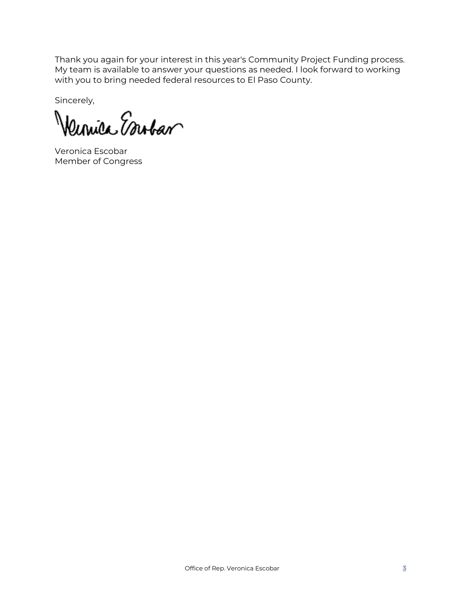Thank you again for your interest in this year's Community Project Funding process. My team is available to answer your questions as needed. I look forward to working with you to bring needed federal resources to El Paso County.

Sincerely,

Vernice Esubar

Veronica Escobar Member of Congress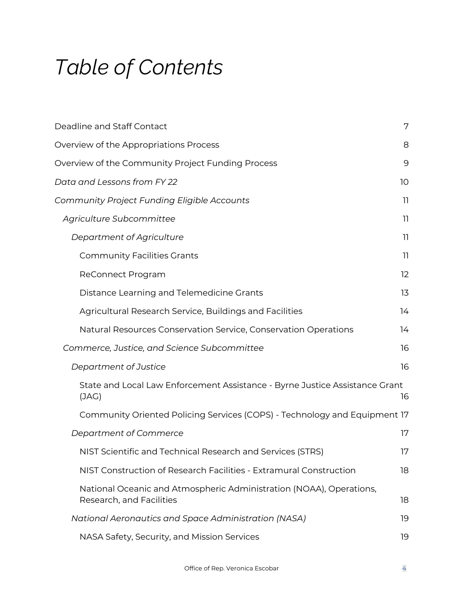# *Table of Contents*

| Deadline and Staff Contact                                                                      | 7  |
|-------------------------------------------------------------------------------------------------|----|
| Overview of the Appropriations Process                                                          | 8  |
| Overview of the Community Project Funding Process                                               | 9  |
| Data and Lessons from FY 22                                                                     | 10 |
| <b>Community Project Funding Eligible Accounts</b>                                              | 11 |
| Agriculture Subcommittee                                                                        | 11 |
| Department of Agriculture                                                                       | 11 |
| <b>Community Facilities Grants</b>                                                              | 11 |
| ReConnect Program                                                                               | 12 |
| Distance Learning and Telemedicine Grants                                                       | 13 |
| Agricultural Research Service, Buildings and Facilities                                         | 14 |
| Natural Resources Conservation Service, Conservation Operations                                 | 14 |
| Commerce, Justice, and Science Subcommittee                                                     | 16 |
| Department of Justice                                                                           | 16 |
| State and Local Law Enforcement Assistance - Byrne Justice Assistance Grant<br>(JAG)            | 16 |
| Community Oriented Policing Services (COPS) - Technology and Equipment 17                       |    |
| Department of Commerce                                                                          | 17 |
| NIST Scientific and Technical Research and Services (STRS)                                      | 17 |
| NIST Construction of Research Facilities - Extramural Construction                              | 18 |
| National Oceanic and Atmospheric Administration (NOAA), Operations,<br>Research, and Facilities | 18 |
| National Aeronautics and Space Administration (NASA)                                            | 19 |
| NASA Safety, Security, and Mission Services                                                     | 19 |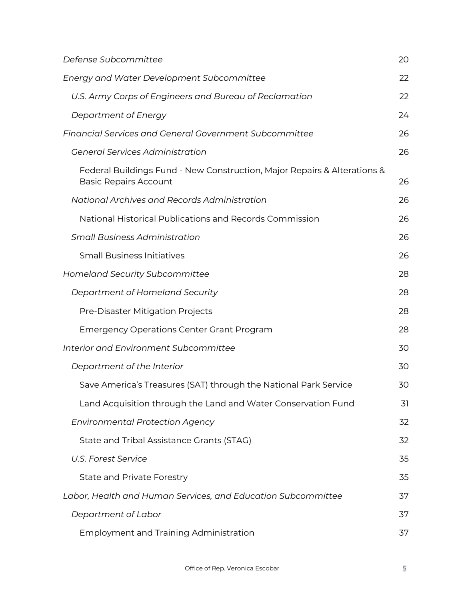| Defense Subcommittee                                                                                     | 20 |
|----------------------------------------------------------------------------------------------------------|----|
| <b>Energy and Water Development Subcommittee</b>                                                         | 22 |
| U.S. Army Corps of Engineers and Bureau of Reclamation                                                   | 22 |
| Department of Energy                                                                                     | 24 |
| <b>Financial Services and General Government Subcommittee</b>                                            | 26 |
| <b>General Services Administration</b>                                                                   | 26 |
| Federal Buildings Fund - New Construction, Major Repairs & Alterations &<br><b>Basic Repairs Account</b> | 26 |
| National Archives and Records Administration                                                             | 26 |
| National Historical Publications and Records Commission                                                  | 26 |
| <b>Small Business Administration</b>                                                                     | 26 |
| <b>Small Business Initiatives</b>                                                                        | 26 |
| <b>Homeland Security Subcommittee</b>                                                                    | 28 |
| Department of Homeland Security                                                                          | 28 |
| Pre-Disaster Mitigation Projects                                                                         | 28 |
| <b>Emergency Operations Center Grant Program</b>                                                         | 28 |
| Interior and Environment Subcommittee                                                                    | 30 |
| Department of the Interior                                                                               | 30 |
| Save America's Treasures (SAT) through the National Park Service                                         | 30 |
| Land Acquisition through the Land and Water Conservation Fund                                            | 31 |
| <b>Environmental Protection Agency</b>                                                                   | 32 |
| State and Tribal Assistance Grants (STAG)                                                                | 32 |
| <b>U.S. Forest Service</b>                                                                               | 35 |
| <b>State and Private Forestry</b>                                                                        | 35 |
| Labor, Health and Human Services, and Education Subcommittee                                             | 37 |
| Department of Labor                                                                                      | 37 |
| <b>Employment and Training Administration</b>                                                            | 37 |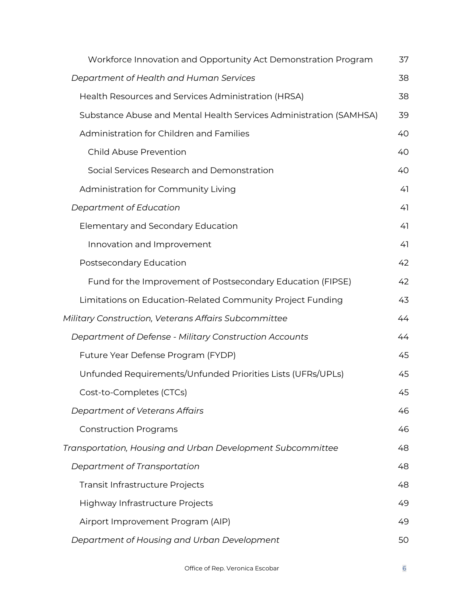| Workforce Innovation and Opportunity Act Demonstration Program     | 37 |
|--------------------------------------------------------------------|----|
| Department of Health and Human Services                            | 38 |
| Health Resources and Services Administration (HRSA)                | 38 |
| Substance Abuse and Mental Health Services Administration (SAMHSA) | 39 |
| Administration for Children and Families                           | 40 |
| <b>Child Abuse Prevention</b>                                      | 40 |
| Social Services Research and Demonstration                         | 40 |
| Administration for Community Living                                | 41 |
| Department of Education                                            | 41 |
| Elementary and Secondary Education                                 | 41 |
| Innovation and Improvement                                         | 41 |
| Postsecondary Education                                            | 42 |
| Fund for the Improvement of Postsecondary Education (FIPSE)        | 42 |
| Limitations on Education-Related Community Project Funding         | 43 |
| Military Construction, Veterans Affairs Subcommittee               | 44 |
| Department of Defense - Military Construction Accounts             | 44 |
| Future Year Defense Program (FYDP)                                 | 45 |
| Unfunded Requirements/Unfunded Priorities Lists (UFRs/UPLs)        | 45 |
| Cost-to-Completes (CTCs)                                           | 45 |
| Department of Veterans Affairs                                     | 46 |
| <b>Construction Programs</b>                                       | 46 |
| Transportation, Housing and Urban Development Subcommittee         | 48 |
| Department of Transportation                                       | 48 |
| Transit Infrastructure Projects                                    | 48 |
| Highway Infrastructure Projects                                    | 49 |
| Airport Improvement Program (AIP)                                  | 49 |
| Department of Housing and Urban Development                        | 50 |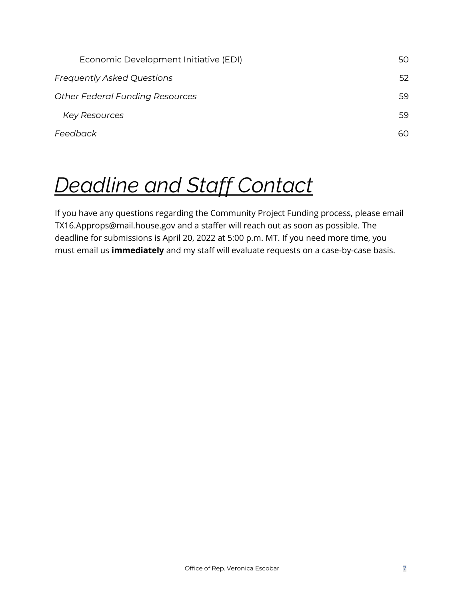| Economic Development Initiative (EDI)  | 50  |
|----------------------------------------|-----|
| <b>Frequently Asked Questions</b>      | 52  |
| <b>Other Federal Funding Resources</b> | 59  |
| <b>Key Resources</b>                   | 59  |
| Feedback                               | 60. |

# <span id="page-6-0"></span>*Deadline and Staff Contact*

If you have any questions regarding the Community Project Funding process, please email TX16.Approps@mail.house.gov and a staffer will reach out as soon as possible. The deadline for submissions is April 20, 2022 at 5:00 p.m. MT. If you need more time, you must email us **immediately** and my staff will evaluate requests on a case-by-case basis.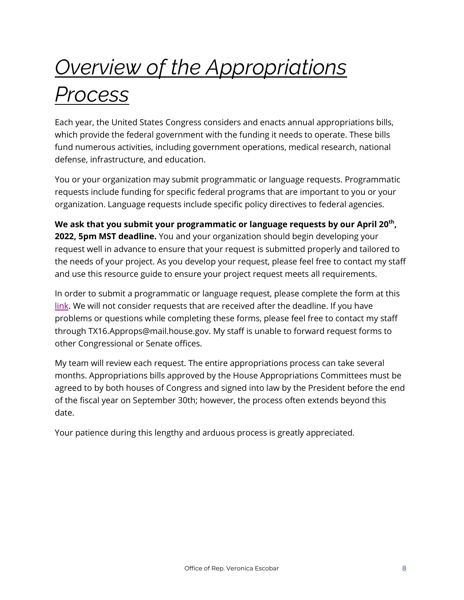# <span id="page-7-0"></span>*Overview of the Appropriations Process*

Each year, the United States Congress considers and enacts annual appropriations bills, which provide the federal government with the funding it needs to operate. These bills fund numerous activities, including government operations, medical research, national defense, infrastructure, and education.

You or your organization may submit programmatic or language requests. Programmatic requests include funding for specific federal programs that are important to you or your organization. Language requests include specific policy directives to federal agencies.

**We ask that you submit your programmatic or language requests by our April 20th , 2022, 5pm MST deadline.** You and your organization should begin developing your request well in advance to ensure that your request is submitted properly and tailored to the needs of your project. As you develop your request, please feel free to contact my staff and use this resource guide to ensure your project request meets all requirements.

In order to submit a programmatic or language request, please complete the form at this [link.](https://docs.google.com/forms/d/e/1FAIpQLSfuL0q4DO4KYrLgOABe5KpN6crltJ4-ZkLawoimuT1tLI-m6g/viewform) We will not consider requests that are received after the deadline. If you have problems or questions while completing these forms, please feel free to contact my staff through TX16.Approps@mail.house.gov. My staff is unable to forward request forms to other Congressional or Senate offices.

My team will review each request. The entire appropriations process can take several months. Appropriations bills approved by the House Appropriations Committees must be agreed to by both houses of Congress and signed into law by the President before the end of the fiscal year on September 30th; however, the process often extends beyond this date.

Your patience during this lengthy and arduous process is greatly appreciated.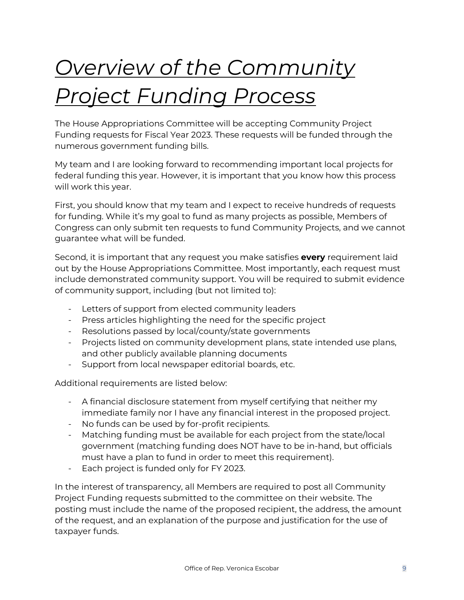# <span id="page-8-0"></span>*Overview of the Community Project Funding Process*

The House Appropriations Committee will be accepting Community Project Funding requests for Fiscal Year 2023. These requests will be funded through the numerous government funding bills.

My team and I are looking forward to recommending important local projects for federal funding this year. However, it is important that you know how this process will work this year.

First, you should know that my team and I expect to receive hundreds of requests for funding. While it's my goal to fund as many projects as possible, Members of Congress can only submit ten requests to fund Community Projects, and we cannot guarantee what will be funded.

Second, it is important that any request you make satisfies **every** requirement laid out by the House Appropriations Committee. Most importantly, each request must include demonstrated community support. You will be required to submit evidence of community support, including (but not limited to):

- Letters of support from elected community leaders
- Press articles highlighting the need for the specific project
- Resolutions passed by local/county/state governments
- Projects listed on community development plans, state intended use plans, and other publicly available planning documents
- Support from local newspaper editorial boards, etc.

Additional requirements are listed below:

- A financial disclosure statement from myself certifying that neither my immediate family nor I have any financial interest in the proposed project.
- No funds can be used by for-profit recipients.
- Matching funding must be available for each project from the state/local government (matching funding does NOT have to be in-hand, but officials must have a plan to fund in order to meet this requirement).
- Each project is funded only for FY 2023.

In the interest of transparency, all Members are required to post all Community Project Funding requests submitted to the committee on their website. The posting must include the name of the proposed recipient, the address, the amount of the request, and an explanation of the purpose and justification for the use of taxpayer funds.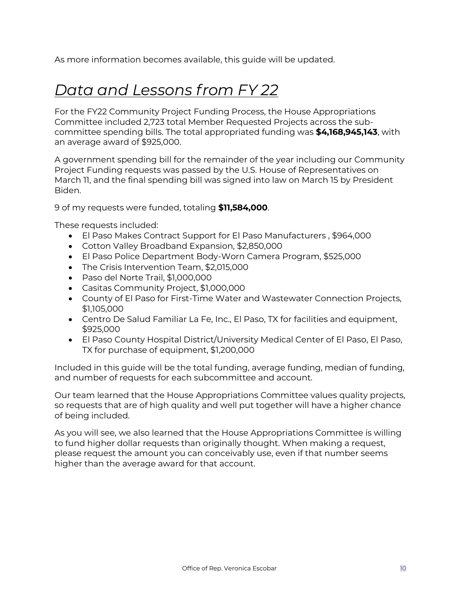<span id="page-9-0"></span>As more information becomes available, this guide will be updated.

# *Data and Lessons from FY 22*

For the FY22 Community Project Funding Process, the House Appropriations Committee included 2,723 total Member Requested Projects across the subcommittee spending bills. The total appropriated funding was **\$4,168,945,143**, with an average award of \$925,000.

A government spending bill for the remainder of the year including our Community Project Funding requests was passed by the U.S. House of Representatives on March 11, and the final spending bill was signed into law on March 15 by President Biden.

9 of my requests were funded, totaling **\$11,584,000**.

These requests included:

- El Paso Makes Contract Support for El Paso Manufacturers , \$964,000
- Cotton Valley Broadband Expansion, \$2,850,000
- El Paso Police Department Body-Worn Camera Program, \$525,000
- The Crisis Intervention Team, \$2,015,000
- Paso del Norte Trail, \$1,000,000
- Casitas Community Project, \$1,000,000
- County of El Paso for First-Time Water and Wastewater Connection Projects, \$1,105,000
- Centro De Salud Familiar La Fe, Inc., El Paso, TX for facilities and equipment, \$925,000
- El Paso County Hospital District/University Medical Center of El Paso, El Paso, TX for purchase of equipment, \$1,200,000

Included in this guide will be the total funding, average funding, median of funding, and number of requests for each subcommittee and account.

Our team learned that the House Appropriations Committee values quality projects, so requests that are of high quality and well put together will have a higher chance of being included.

As you will see, we also learned that the House Appropriations Committee is willing to fund higher dollar requests than originally thought. When making a request, please request the amount you can conceivably use, even if that number seems higher than the average award for that account.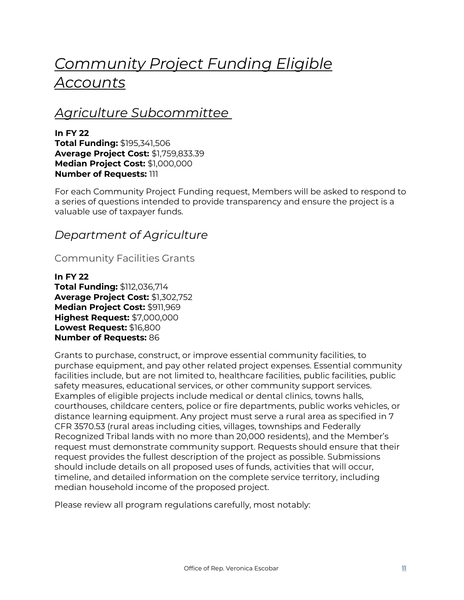# <span id="page-10-0"></span>*Community Project Funding Eligible Accounts*

# <span id="page-10-1"></span>*Agriculture Subcommittee*

**In FY 22 Total Funding:** \$195,341,506 **Average Project Cost:** \$1,759,833.39 **Median Project Cost:** \$1,000,000 **Number of Requests:** 111

For each Community Project Funding request, Members will be asked to respond to a series of questions intended to provide transparency and ensure the project is a valuable use of taxpayer funds.

# <span id="page-10-2"></span>*Department of Agriculture*

### <span id="page-10-3"></span>Community Facilities Grants

**In FY 22 Total Funding:** \$112,036,714 **Average Project Cost:** \$1,302,752 **Median Project Cost:** \$911,969 **Highest Request:** \$7,000,000 **Lowest Request:** \$16,800 **Number of Requests:** 86

Grants to purchase, construct, or improve essential community facilities, to purchase equipment, and pay other related project expenses. Essential community facilities include, but are not limited to, healthcare facilities, public facilities, public safety measures, educational services, or other community support services. Examples of eligible projects include medical or dental clinics, towns halls, courthouses, childcare centers, police or fire departments, public works vehicles, or distance learning equipment. Any project must serve a rural area as specified in 7 CFR 3570.53 (rural areas including cities, villages, townships and Federally Recognized Tribal lands with no more than 20,000 residents), and the Member's request must demonstrate community support. Requests should ensure that their request provides the fullest description of the project as possible. Submissions should include details on all proposed uses of funds, activities that will occur, timeline, and detailed information on the complete service territory, including median household income of the proposed project.

Please review all program regulations carefully, most notably: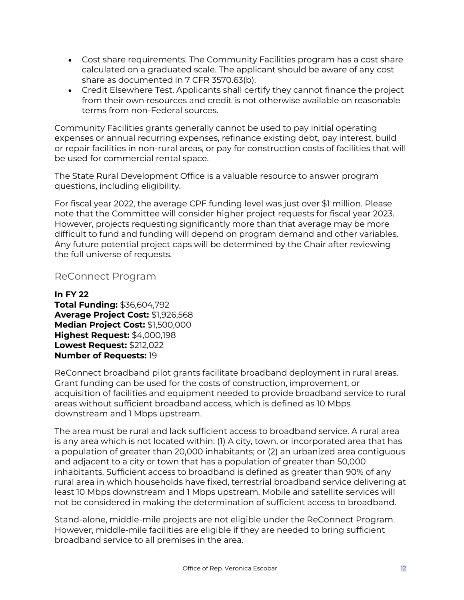- Cost share requirements. The Community Facilities program has a cost share calculated on a graduated scale. The applicant should be aware of any cost share as documented in 7 CFR 3570.63(b).
- Credit Elsewhere Test. Applicants shall certify they cannot finance the project from their own resources and credit is not otherwise available on reasonable terms from non-Federal sources.

Community Facilities grants generally cannot be used to pay initial operating expenses or annual recurring expenses, refinance existing debt, pay interest, build or repair facilities in non-rural areas, or pay for construction costs of facilities that will be used for commercial rental space.

The State Rural Development Office is a valuable resource to answer program questions, including eligibility.

For fiscal year 2022, the average CPF funding level was just over \$1 million. Please note that the Committee will consider higher project requests for fiscal year 2023. However, projects requesting significantly more than that average may be more difficult to fund and funding will depend on program demand and other variables. Any future potential project caps will be determined by the Chair after reviewing the full universe of requests.

### <span id="page-11-0"></span>ReConnect Program

#### **In FY 22 Total Funding:** \$36,604,792 **Average Project Cost:** \$1,926,568 **Median Project Cost:** \$1,500,000 **Highest Request:** \$4,000,198 **Lowest Request:** \$212,022 **Number of Requests:** 19

ReConnect broadband pilot grants facilitate broadband deployment in rural areas. Grant funding can be used for the costs of construction, improvement, or acquisition of facilities and equipment needed to provide broadband service to rural areas without sufficient broadband access, which is defined as 10 Mbps downstream and 1 Mbps upstream.

The area must be rural and lack sufficient access to broadband service. A rural area is any area which is not located within: (1) A city, town, or incorporated area that has a population of greater than 20,000 inhabitants; or (2) an urbanized area contiguous and adjacent to a city or town that has a population of greater than 50,000 inhabitants. Sufficient access to broadband is defined as greater than 90% of any rural area in which households have fixed, terrestrial broadband service delivering at least 10 Mbps downstream and 1 Mbps upstream. Mobile and satellite services will not be considered in making the determination of sufficient access to broadband.

Stand-alone, middle-mile projects are not eligible under the ReConnect Program. However, middle-mile facilities are eligible if they are needed to bring sufficient broadband service to all premises in the area.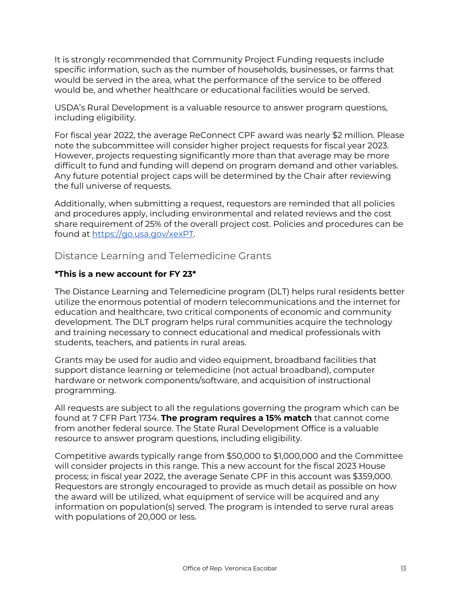It is strongly recommended that Community Project Funding requests include specific information, such as the number of households, businesses, or farms that would be served in the area, what the performance of the service to be offered would be, and whether healthcare or educational facilities would be served.

USDA's Rural Development is a valuable resource to answer program questions, including eligibility.

For fiscal year 2022, the average ReConnect CPF award was nearly \$2 million. Please note the subcommittee will consider higher project requests for fiscal year 2023. However, projects requesting significantly more than that average may be more difficult to fund and funding will depend on program demand and other variables. Any future potential project caps will be determined by the Chair after reviewing the full universe of requests.

Additionally, when submitting a request, requestors are reminded that all policies and procedures apply, including environmental and related reviews and the cost share requirement of 25% of the overall project cost. Policies and procedures can be found at [https://go.usa.gov/xexPT.](https://go.usa.gov/xexPT)

### <span id="page-12-0"></span>Distance Learning and Telemedicine Grants

#### **\*This is a new account for FY 23\***

The Distance Learning and Telemedicine program (DLT) helps rural residents better utilize the enormous potential of modern telecommunications and the internet for education and healthcare, two critical components of economic and community development. The DLT program helps rural communities acquire the technology and training necessary to connect educational and medical professionals with students, teachers, and patients in rural areas.

Grants may be used for audio and video equipment, broadband facilities that support distance learning or telemedicine (not actual broadband), computer hardware or network components/software, and acquisition of instructional programming.

All requests are subject to all the regulations governing the program which can be found at 7 CFR Part 1734. **The program requires a 15% match** that cannot come from another federal source. The State Rural Development Office is a valuable resource to answer program questions, including eligibility.

Competitive awards typically range from \$50,000 to \$1,000,000 and the Committee will consider projects in this range. This a new account for the fiscal 2023 House process; in fiscal year 2022, the average Senate CPF in this account was \$359,000. Requestors are strongly encouraged to provide as much detail as possible on how the award will be utilized, what equipment of service will be acquired and any information on population(s) served. The program is intended to serve rural areas with populations of 20,000 or less.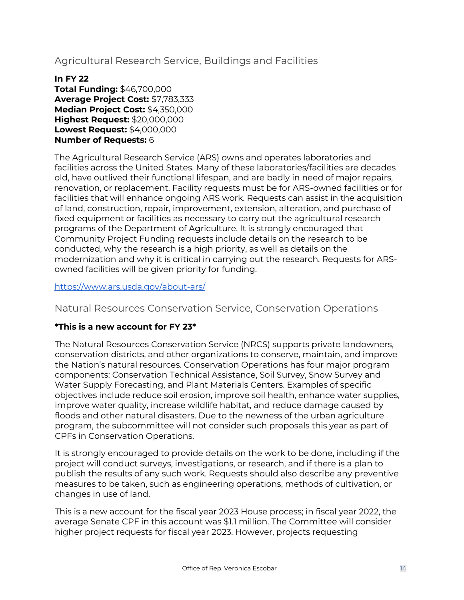<span id="page-13-0"></span>Agricultural Research Service, Buildings and Facilities

#### **In FY 22 Total Funding:** \$46,700,000 **Average Project Cost:** \$7,783,333 **Median Project Cost:** \$4,350,000 **Highest Request:** \$20,000,000 **Lowest Request:** \$4,000,000 **Number of Requests:** 6

The Agricultural Research Service (ARS) owns and operates laboratories and facilities across the United States. Many of these laboratories/facilities are decades old, have outlived their functional lifespan, and are badly in need of major repairs, renovation, or replacement. Facility requests must be for ARS-owned facilities or for facilities that will enhance ongoing ARS work. Requests can assist in the acquisition of land, construction, repair, improvement, extension, alteration, and purchase of fixed equipment or facilities as necessary to carry out the agricultural research programs of the Department of Agriculture. It is strongly encouraged that Community Project Funding requests include details on the research to be conducted, why the research is a high priority, as well as details on the modernization and why it is critical in carrying out the research. Requests for ARSowned facilities will be given priority for funding.

<span id="page-13-1"></span><https://www.ars.usda.gov/about-ars/>

Natural Resources Conservation Service, Conservation Operations

### **\*This is a new account for FY 23\***

The Natural Resources Conservation Service (NRCS) supports private landowners, conservation districts, and other organizations to conserve, maintain, and improve the Nation's natural resources. Conservation Operations has four major program components: Conservation Technical Assistance, Soil Survey, Snow Survey and Water Supply Forecasting, and Plant Materials Centers. Examples of specific objectives include reduce soil erosion, improve soil health, enhance water supplies, improve water quality, increase wildlife habitat, and reduce damage caused by floods and other natural disasters. Due to the newness of the urban agriculture program, the subcommittee will not consider such proposals this year as part of CPFs in Conservation Operations.

It is strongly encouraged to provide details on the work to be done, including if the project will conduct surveys, investigations, or research, and if there is a plan to publish the results of any such work. Requests should also describe any preventive measures to be taken, such as engineering operations, methods of cultivation, or changes in use of land.

This is a new account for the fiscal year 2023 House process; in fiscal year 2022, the average Senate CPF in this account was \$1.1 million. The Committee will consider higher project requests for fiscal year 2023. However, projects requesting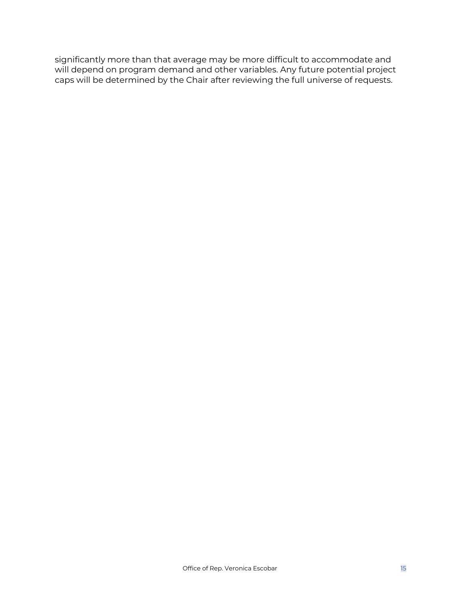significantly more than that average may be more difficult to accommodate and will depend on program demand and other variables. Any future potential project caps will be determined by the Chair after reviewing the full universe of requests.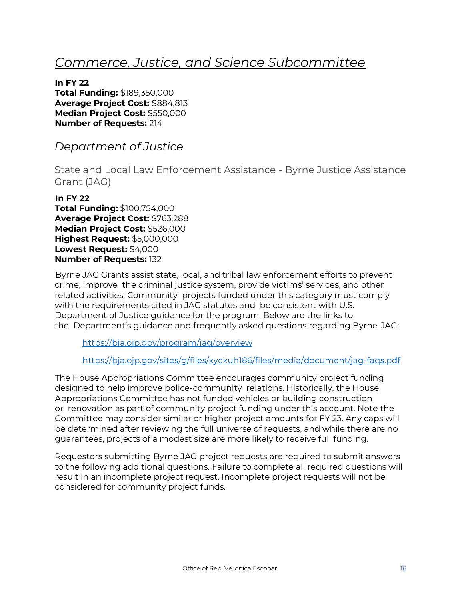# <span id="page-15-0"></span>*Commerce, Justice, and Science Subcommittee*

**In FY 22 Total Funding:** \$189,350,000 **Average Project Cost:** \$884,813 **Median Project Cost:** \$550,000 **Number of Requests:** 214

<span id="page-15-1"></span>*Department of Justice*

<span id="page-15-2"></span>State and Local Law Enforcement Assistance - Byrne Justice Assistance Grant (JAG)

### **In FY 22**

**Total Funding:** \$100,754,000 **Average Project Cost:** \$763,288 **Median Project Cost:** \$526,000 **Highest Request:** \$5,000,000 **Lowest Request:** \$4,000 **Number of Requests:** 132

Byrne JAG Grants assist state, local, and tribal law enforcement efforts to prevent crime, improve the criminal justice system, provide victims' services, and other related activities. Community projects funded under this category must comply with the requirements cited in JAG statutes and be consistent with U.S. Department of Justice guidance for the program. Below are the links to the Department's guidance and frequently asked questions regarding Byrne-JAG:

https://bja.ojp.gov/program/jag/overview

### https://bja.ojp.gov/sites/g/files/xyckuh186/files/media/document/jag-faqs.pdf

The House Appropriations Committee encourages community project funding designed to help improve police-community relations. Historically, the House Appropriations Committee has not funded vehicles or building construction or renovation as part of community project funding under this account. Note the Committee may consider similar or higher project amounts for FY 23. Any caps will be determined after reviewing the full universe of requests, and while there are no guarantees, projects of a modest size are more likely to receive full funding.

Requestors submitting Byrne JAG project requests are required to submit answers to the following additional questions. Failure to complete all required questions will result in an incomplete project request. Incomplete project requests will not be considered for community project funds.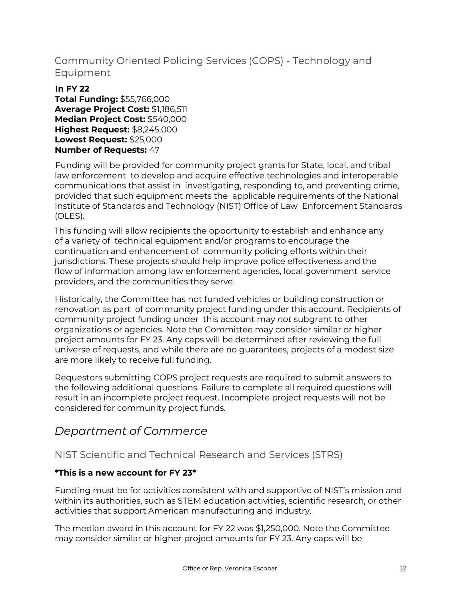# <span id="page-16-0"></span>Community Oriented Policing Services (COPS) - Technology and Equipment

#### **In FY 22 Total Funding:** \$55,766,000 **Average Project Cost:** \$1,186,511 **Median Project Cost:** \$540,000 **Highest Request:** \$8,245,000 **Lowest Request:** \$25,000 **Number of Requests:** 47

Funding will be provided for community project grants for State, local, and tribal law enforcement to develop and acquire effective technologies and interoperable communications that assist in investigating, responding to, and preventing crime, provided that such equipment meets the applicable requirements of the National Institute of Standards and Technology (NIST) Office of Law Enforcement Standards (OLES).

This funding will allow recipients the opportunity to establish and enhance any of a variety of technical equipment and/or programs to encourage the continuation and enhancement of community policing efforts within their jurisdictions. These projects should help improve police effectiveness and the flow of information among law enforcement agencies, local government service providers, and the communities they serve.

Historically, the Committee has not funded vehicles or building construction or renovation as part of community project funding under this account. Recipients of community project funding under this account may *not* subgrant to other organizations or agencies. Note the Committee may consider similar or higher project amounts for FY 23. Any caps will be determined after reviewing the full universe of requests, and while there are no guarantees, projects of a modest size are more likely to receive full funding.

Requestors submitting COPS project requests are required to submit answers to the following additional questions. Failure to complete all required questions will result in an incomplete project request. Incomplete project requests will not be considered for community project funds.

# <span id="page-16-1"></span>*Department of Commerce*

### <span id="page-16-2"></span>NIST Scientific and Technical Research and Services (STRS)

### **\*This is a new account for FY 23\***

Funding must be for activities consistent with and supportive of NIST's mission and within its authorities, such as STEM education activities, scientific research, or other activities that support American manufacturing and industry.

The median award in this account for FY 22 was \$1,250,000. Note the Committee may consider similar or higher project amounts for FY 23. Any caps will be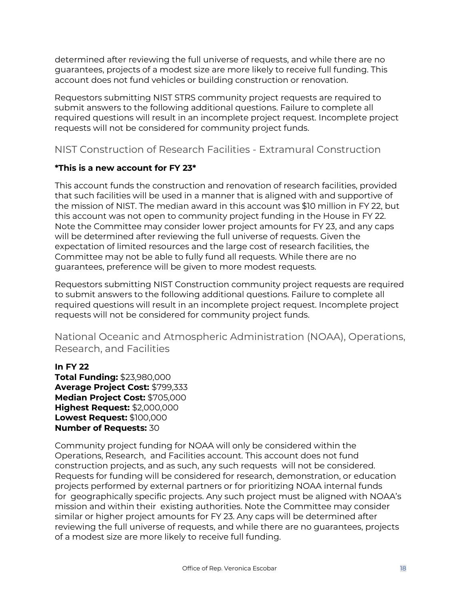determined after reviewing the full universe of requests, and while there are no guarantees, projects of a modest size are more likely to receive full funding. This account does not fund vehicles or building construction or renovation.

Requestors submitting NIST STRS community project requests are required to submit answers to the following additional questions. Failure to complete all required questions will result in an incomplete project request. Incomplete project requests will not be considered for community project funds.

### <span id="page-17-0"></span>NIST Construction of Research Facilities - Extramural Construction

### **\*This is a new account for FY 23\***

This account funds the construction and renovation of research facilities, provided that such facilities will be used in a manner that is aligned with and supportive of the mission of NIST. The median award in this account was \$10 million in FY 22, but this account was not open to community project funding in the House in FY 22. Note the Committee may consider lower project amounts for FY 23, and any caps will be determined after reviewing the full universe of requests. Given the expectation of limited resources and the large cost of research facilities, the Committee may not be able to fully fund all requests. While there are no guarantees, preference will be given to more modest requests.

Requestors submitting NIST Construction community project requests are required to submit answers to the following additional questions. Failure to complete all required questions will result in an incomplete project request. Incomplete project requests will not be considered for community project funds.

<span id="page-17-1"></span>National Oceanic and Atmospheric Administration (NOAA), Operations, Research, and Facilities

### **In FY 22**

**Total Funding:** \$23,980,000 **Average Project Cost:** \$799,333 **Median Project Cost:** \$705,000 **Highest Request:** \$2,000,000 **Lowest Request:** \$100,000 **Number of Requests:** 30

Community project funding for NOAA will only be considered within the Operations, Research, and Facilities account. This account does not fund construction projects, and as such, any such requests will not be considered. Requests for funding will be considered for research, demonstration, or education projects performed by external partners or for prioritizing NOAA internal funds for geographically specific projects. Any such project must be aligned with NOAA's mission and within their existing authorities. Note the Committee may consider similar or higher project amounts for FY 23. Any caps will be determined after reviewing the full universe of requests, and while there are no guarantees, projects of a modest size are more likely to receive full funding.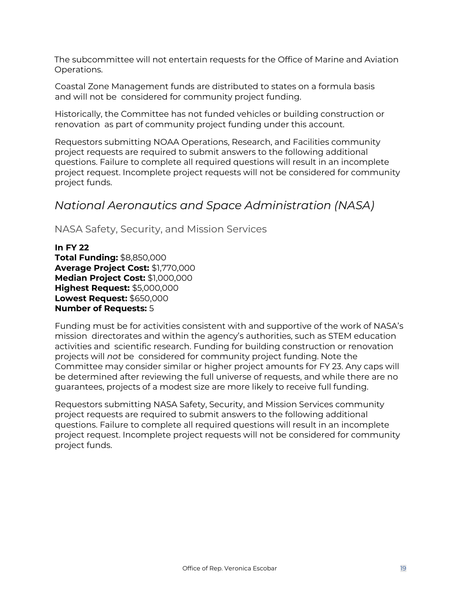The subcommittee will not entertain requests for the Office of Marine and Aviation Operations.

Coastal Zone Management funds are distributed to states on a formula basis and will not be considered for community project funding.

Historically, the Committee has not funded vehicles or building construction or renovation as part of community project funding under this account.

Requestors submitting NOAA Operations, Research, and Facilities community project requests are required to submit answers to the following additional questions. Failure to complete all required questions will result in an incomplete project request. Incomplete project requests will not be considered for community project funds.

# <span id="page-18-0"></span>*National Aeronautics and Space Administration (NASA)*

<span id="page-18-1"></span>NASA Safety, Security, and Mission Services

**In FY 22 Total Funding:** \$8,850,000 **Average Project Cost:** \$1,770,000 **Median Project Cost:** \$1,000,000 **Highest Request:** \$5,000,000 **Lowest Request:** \$650,000 **Number of Requests:** 5

Funding must be for activities consistent with and supportive of the work of NASA's mission directorates and within the agency's authorities, such as STEM education activities and scientific research. Funding for building construction or renovation projects will *not* be considered for community project funding. Note the Committee may consider similar or higher project amounts for FY 23. Any caps will be determined after reviewing the full universe of requests, and while there are no guarantees, projects of a modest size are more likely to receive full funding.

Requestors submitting NASA Safety, Security, and Mission Services community project requests are required to submit answers to the following additional questions. Failure to complete all required questions will result in an incomplete project request. Incomplete project requests will not be considered for community project funds.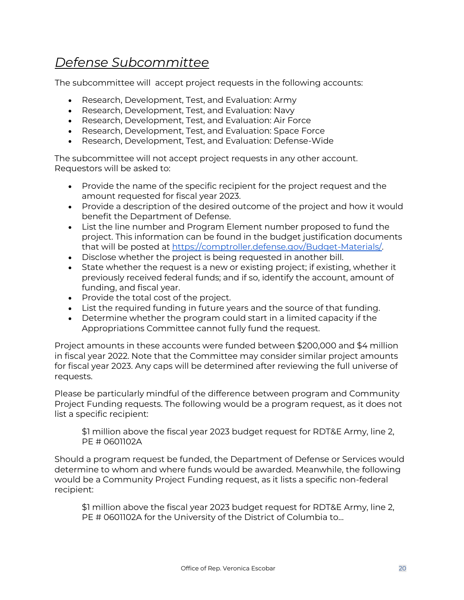# <span id="page-19-0"></span>*Defense Subcommittee*

The subcommittee will accept project requests in the following accounts:

- Research, Development, Test, and Evaluation: Army
- Research, Development, Test, and Evaluation: Navy
- Research, Development, Test, and Evaluation: Air Force
- Research, Development, Test, and Evaluation: Space Force
- Research, Development, Test, and Evaluation: Defense-Wide

The subcommittee will not accept project requests in any other account. Requestors will be asked to:

- Provide the name of the specific recipient for the project request and the amount requested for fiscal year 2023.
- Provide a description of the desired outcome of the project and how it would benefit the Department of Defense.
- List the line number and Program Element number proposed to fund the project. This information can be found in the budget justification documents that will be posted at [https://comptroller.defense.gov/Budget-Materials/.](https://comptroller.defense.gov/Budget-Materials/)
- Disclose whether the project is being requested in another bill.
- State whether the request is a new or existing project; if existing, whether it previously received federal funds; and if so, identify the account, amount of funding, and fiscal year.
- Provide the total cost of the project.
- List the required funding in future years and the source of that funding.
- Determine whether the program could start in a limited capacity if the Appropriations Committee cannot fully fund the request.

Project amounts in these accounts were funded between \$200,000 and \$4 million in fiscal year 2022. Note that the Committee may consider similar project amounts for fiscal year 2023. Any caps will be determined after reviewing the full universe of requests.

Please be particularly mindful of the difference between program and Community Project Funding requests. The following would be a program request, as it does not list a specific recipient:

\$1 million above the fiscal year 2023 budget request for RDT&E Army, line 2, PE # 0601102A

Should a program request be funded, the Department of Defense or Services would determine to whom and where funds would be awarded. Meanwhile, the following would be a Community Project Funding request, as it lists a specific non-federal recipient:

\$1 million above the fiscal year 2023 budget request for RDT&E Army, line 2, PE # 0601102A for the University of the District of Columbia to…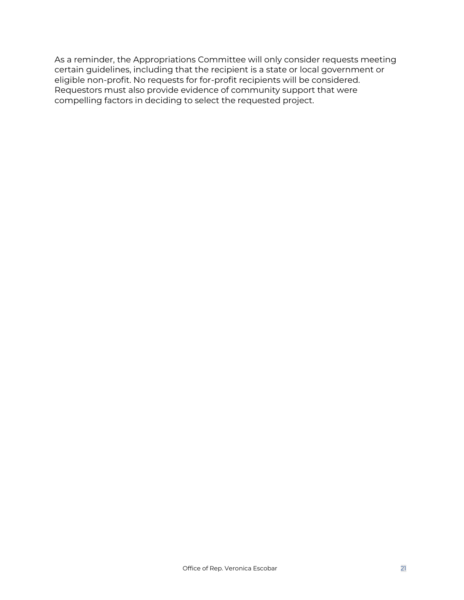As a reminder, the Appropriations Committee will only consider requests meeting certain guidelines, including that the recipient is a state or local government or eligible non-profit. No requests for for-profit recipients will be considered. Requestors must also provide evidence of community support that were compelling factors in deciding to select the requested project.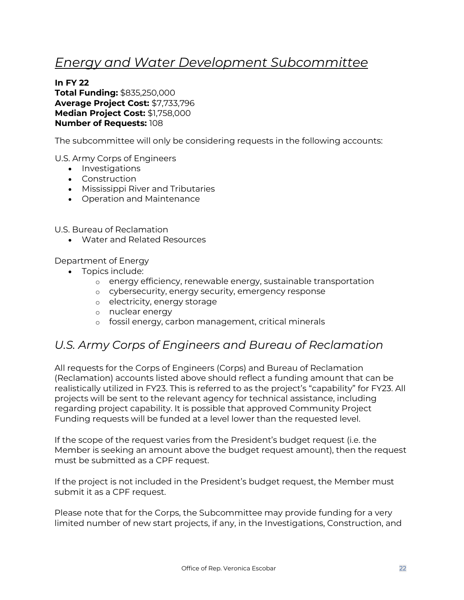# <span id="page-21-0"></span>*Energy and Water Development Subcommittee*

**In FY 22 Total Funding:** \$835,250,000 **Average Project Cost:** \$7,733,796 **Median Project Cost:** \$1,758,000 **Number of Requests:** 108

The subcommittee will only be considering requests in the following accounts:

U.S. Army Corps of Engineers

- Investigations
- Construction
- Mississippi River and Tributaries
- Operation and Maintenance

U.S. Bureau of Reclamation

• Water and Related Resources

Department of Energy

- Topics include:
	- o energy efficiency, renewable energy, sustainable transportation
	- o cybersecurity, energy security, emergency response
	- o electricity, energy storage
	- o nuclear energy
	- o fossil energy, carbon management, critical minerals

# <span id="page-21-1"></span>*U.S. Army Corps of Engineers and Bureau of Reclamation*

All requests for the Corps of Engineers (Corps) and Bureau of Reclamation (Reclamation) accounts listed above should reflect a funding amount that can be realistically utilized in FY23. This is referred to as the project's "capability" for FY23. All projects will be sent to the relevant agency for technical assistance, including regarding project capability. It is possible that approved Community Project Funding requests will be funded at a level lower than the requested level.

If the scope of the request varies from the President's budget request (i.e. the Member is seeking an amount above the budget request amount), then the request must be submitted as a CPF request.

If the project is not included in the President's budget request, the Member must submit it as a CPF request.

Please note that for the Corps, the Subcommittee may provide funding for a very limited number of new start projects, if any, in the Investigations, Construction, and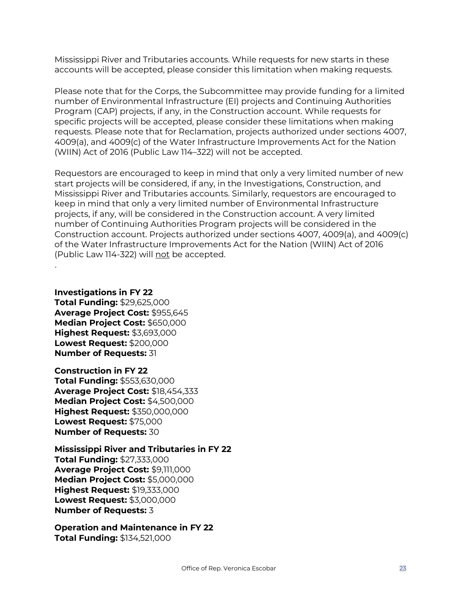Mississippi River and Tributaries accounts. While requests for new starts in these accounts will be accepted, please consider this limitation when making requests.

Please note that for the Corps, the Subcommittee may provide funding for a limited number of Environmental Infrastructure (EI) projects and Continuing Authorities Program (CAP) projects, if any, in the Construction account. While requests for specific projects will be accepted, please consider these limitations when making requests. Please note that for Reclamation, projects authorized under sections 4007, 4009(a), and 4009(c) of the Water Infrastructure Improvements Act for the Nation (WIIN) Act of 2016 (Public Law 114–322) will not be accepted.

Requestors are encouraged to keep in mind that only a very limited number of new start projects will be considered, if any, in the Investigations, Construction, and Mississippi River and Tributaries accounts. Similarly, requestors are encouraged to keep in mind that only a very limited number of Environmental Infrastructure projects, if any, will be considered in the Construction account. A very limited number of Continuing Authorities Program projects will be considered in the Construction account. Projects authorized under sections 4007, 4009(a), and 4009(c) of the Water Infrastructure Improvements Act for the Nation (WIIN) Act of 2016 (Public Law 114-322) will not be accepted.

**Investigations in FY 22 Total Funding:** \$29,625,000 **Average Project Cost:** \$955,645 **Median Project Cost:** \$650,000 **Highest Request:** \$3,693,000 **Lowest Request:** \$200,000 **Number of Requests:** 31

.

**Construction in FY 22 Total Funding:** \$553,630,000 **Average Project Cost:** \$18,454,333 **Median Project Cost:** \$4,500,000 **Highest Request:** \$350,000,000 **Lowest Request:** \$75,000 **Number of Requests:** 30

**Mississippi River and Tributaries in FY 22 Total Funding:** \$27,333,000

**Average Project Cost:** \$9,111,000 **Median Project Cost:** \$5,000,000 **Highest Request:** \$19,333,000 **Lowest Request:** \$3,000,000 **Number of Requests:** 3

**Operation and Maintenance in FY 22 Total Funding:** \$134,521,000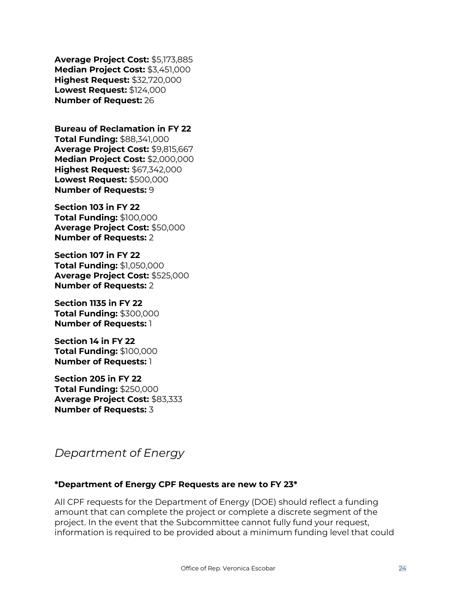**Average Project Cost:** \$5,173,885 **Median Project Cost:** \$3,451,000 **Highest Request:** \$32,720,000 **Lowest Request:** \$124,000 **Number of Request:** 26

**Bureau of Reclamation in FY 22 Total Funding:** \$88,341,000 **Average Project Cost:** \$9,815,667 **Median Project Cost:** \$2,000,000 **Highest Request:** \$67,342,000 **Lowest Request:** \$500,000 **Number of Requests:** 9

**Section 103 in FY 22 Total Funding:** \$100,000 **Average Project Cost:** \$50,000 **Number of Requests:** 2

**Section 107 in FY 22 Total Funding:** \$1,050,000 **Average Project Cost:** \$525,000 **Number of Requests:** 2

**Section 1135 in FY 22 Total Funding:** \$300,000 **Number of Requests:** 1

**Section 14 in FY 22 Total Funding:** \$100,000 **Number of Requests:** 1

**Section 205 in FY 22 Total Funding:** \$250,000 **Average Project Cost:** \$83,333 **Number of Requests:** 3

<span id="page-23-0"></span>*Department of Energy*

### **\*Department of Energy CPF Requests are new to FY 23\***

All CPF requests for the Department of Energy (DOE) should reflect a funding amount that can complete the project or complete a discrete segment of the project. In the event that the Subcommittee cannot fully fund your request, information is required to be provided about a minimum funding level that could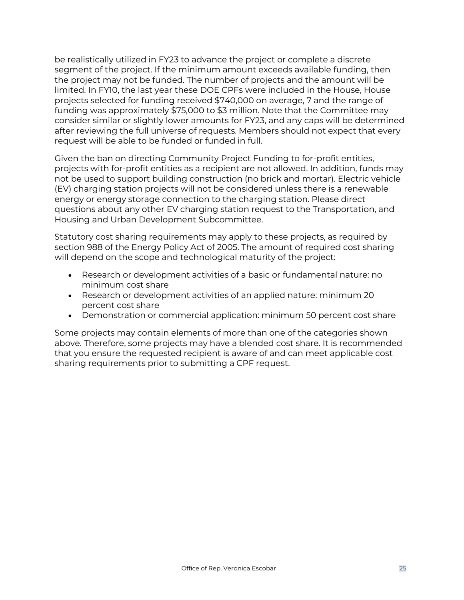be realistically utilized in FY23 to advance the project or complete a discrete segment of the project. If the minimum amount exceeds available funding, then the project may not be funded. The number of projects and the amount will be limited. In FY10, the last year these DOE CPFs were included in the House, House projects selected for funding received \$740,000 on average, 7 and the range of funding was approximately \$75,000 to \$3 million. Note that the Committee may consider similar or slightly lower amounts for FY23, and any caps will be determined after reviewing the full universe of requests. Members should not expect that every request will be able to be funded or funded in full.

Given the ban on directing Community Project Funding to for-profit entities, projects with for-profit entities as a recipient are not allowed. In addition, funds may not be used to support building construction (no brick and mortar). Electric vehicle (EV) charging station projects will not be considered unless there is a renewable energy or energy storage connection to the charging station. Please direct questions about any other EV charging station request to the Transportation, and Housing and Urban Development Subcommittee.

Statutory cost sharing requirements may apply to these projects, as required by section 988 of the Energy Policy Act of 2005. The amount of required cost sharing will depend on the scope and technological maturity of the project:

- Research or development activities of a basic or fundamental nature: no minimum cost share
- Research or development activities of an applied nature: minimum 20 percent cost share
- Demonstration or commercial application: minimum 50 percent cost share

Some projects may contain elements of more than one of the categories shown above. Therefore, some projects may have a blended cost share. It is recommended that you ensure the requested recipient is aware of and can meet applicable cost sharing requirements prior to submitting a CPF request.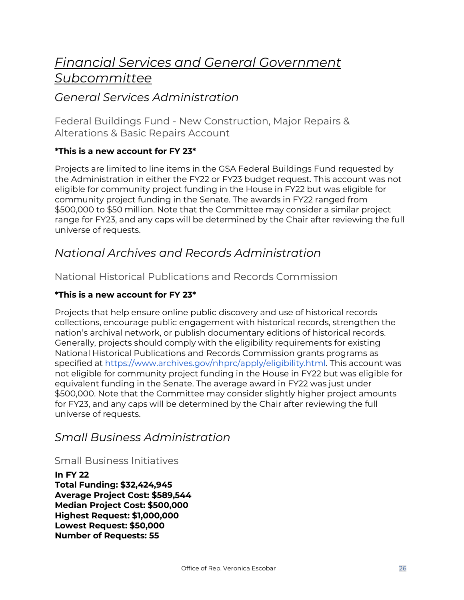# <span id="page-25-0"></span>*Financial Services and General Government Subcommittee*

# <span id="page-25-1"></span>*General Services Administration*

<span id="page-25-2"></span>Federal Buildings Fund - New Construction, Major Repairs & Alterations & Basic Repairs Account

### **\*This is a new account for FY 23\***

Projects are limited to line items in the GSA Federal Buildings Fund requested by the Administration in either the FY22 or FY23 budget request. This account was not eligible for community project funding in the House in FY22 but was eligible for community project funding in the Senate. The awards in FY22 ranged from \$500,000 to \$50 million. Note that the Committee may consider a similar project range for FY23, and any caps will be determined by the Chair after reviewing the full universe of requests.

# <span id="page-25-3"></span>*National Archives and Records Administration*

<span id="page-25-4"></span>National Historical Publications and Records Commission

### **\*This is a new account for FY 23\***

Projects that help ensure online public discovery and use of historical records collections, encourage public engagement with historical records, strengthen the nation's archival network, or publish documentary editions of historical records. Generally, projects should comply with the eligibility requirements for existing National Historical Publications and Records Commission grants programs as specified at [https://www.archives.gov/nhprc/apply/eligibility.html.](https://www.archives.gov/nhprc/apply/eligibility.html) This account was not eligible for community project funding in the House in FY22 but was eligible for equivalent funding in the Senate. The average award in FY22 was just under \$500,000. Note that the Committee may consider slightly higher project amounts for FY23, and any caps will be determined by the Chair after reviewing the full universe of requests.

# <span id="page-25-5"></span>*Small Business Administration*

<span id="page-25-6"></span>Small Business Initiatives

**In FY 22 Total Funding: \$32,424,945 Average Project Cost: \$589,544 Median Project Cost: \$500,000 Highest Request: \$1,000,000 Lowest Request: \$50,000 Number of Requests: 55**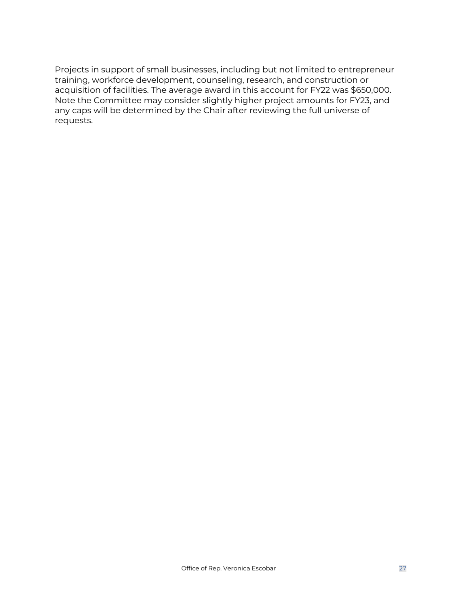Projects in support of small businesses, including but not limited to entrepreneur training, workforce development, counseling, research, and construction or acquisition of facilities. The average award in this account for FY22 was \$650,000. Note the Committee may consider slightly higher project amounts for FY23, and any caps will be determined by the Chair after reviewing the full universe of requests.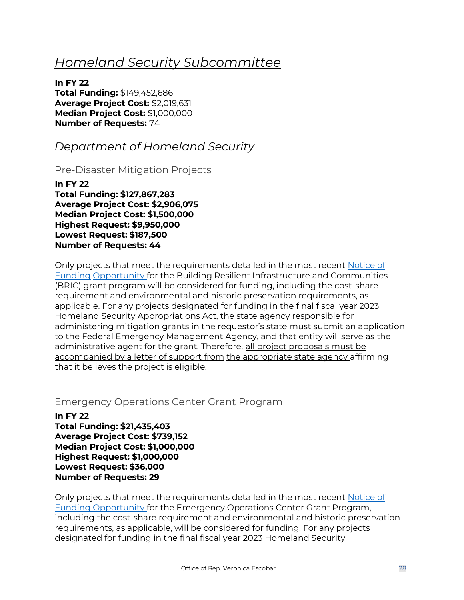# <span id="page-27-0"></span>*Homeland Security Subcommittee*

**In FY 22 Total Funding:** \$149,452,686 **Average Project Cost:** \$2,019,631 **Median Project Cost:** \$1,000,000 **Number of Requests:** 74

# <span id="page-27-1"></span>*Department of Homeland Security*

<span id="page-27-2"></span>Pre-Disaster Mitigation Projects

**In FY 22 Total Funding: \$127,867,283 Average Project Cost: \$2,906,075 Median Project Cost: \$1,500,000 Highest Request: \$9,950,000 Lowest Request: \$187,500 Number of Requests: 44**

Only projects that meet the requirements detailed in the most recent Notice of Funding Opportunity for the Building Resilient Infrastructure and Communities (BRIC) grant program will be considered for funding, including the cost-share requirement and environmental and historic preservation requirements, as applicable. For any projects designated for funding in the final fiscal year 2023 Homeland Security Appropriations Act, the state agency responsible for administering mitigation grants in the requestor's state must submit an application to the Federal Emergency Management Agency, and that entity will serve as the administrative agent for the grant. Therefore, all project proposals must be accompanied by a letter of support from the appropriate state agency affirming that it believes the project is eligible.

### <span id="page-27-3"></span>Emergency Operations Center Grant Program

**In FY 22 Total Funding: \$21,435,403 Average Project Cost: \$739,152 Median Project Cost: \$1,000,000 Highest Request: \$1,000,000 Lowest Request: \$36,000 Number of Requests: 29** 

Only projects that meet the requirements detailed in the most recent Notice of Funding Opportunity for the Emergency Operations Center Grant Program, including the cost-share requirement and environmental and historic preservation requirements, as applicable, will be considered for funding. For any projects designated for funding in the final fiscal year 2023 Homeland Security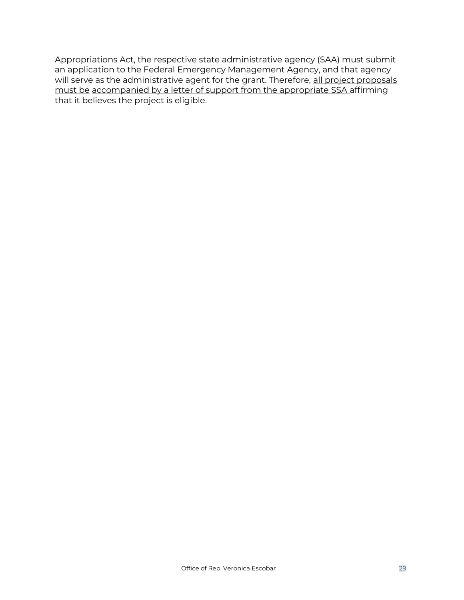Appropriations Act, the respective state administrative agency (SAA) must submit an application to the Federal Emergency Management Agency, and that agency will serve as the administrative agent for the grant. Therefore, all project proposals must be accompanied by a letter of support from the appropriate SSA affirming that it believes the project is eligible.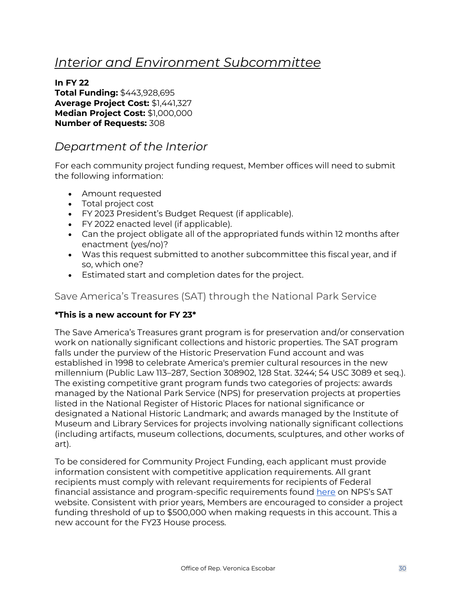# <span id="page-29-0"></span>*Interior and Environment Subcommittee*

**In FY 22 Total Funding:** \$443,928,695 **Average Project Cost:** \$1,441,327 **Median Project Cost:** \$1,000,000 **Number of Requests:** 308

# <span id="page-29-1"></span>*Department of the Interior*

For each community project funding request, Member offices will need to submit the following information:

- Amount requested
- Total project cost
- FY 2023 President's Budget Request (if applicable).
- FY 2022 enacted level (if applicable).
- Can the project obligate all of the appropriated funds within 12 months after enactment (yes/no)?
- Was this request submitted to another subcommittee this fiscal year, and if so, which one?
- Estimated start and completion dates for the project.

### <span id="page-29-2"></span>Save America's Treasures (SAT) through the National Park Service

### **\*This is a new account for FY 23\***

The Save America's Treasures grant program is for preservation and/or conservation work on nationally significant collections and historic properties. The SAT program falls under the purview of the Historic Preservation Fund account and was established in 1998 to celebrate America's premier cultural resources in the new millennium (Public Law 113–287, Section 308902, 128 Stat. 3244; 54 USC 3089 et seq.). The existing competitive grant program funds two categories of projects: awards managed by the National Park Service (NPS) for preservation projects at properties listed in the National Register of Historic Places for national significance or designated a National Historic Landmark; and awards managed by the Institute of Museum and Library Services for projects involving nationally significant collections (including artifacts, museum collections, documents, sculptures, and other works of art).

To be considered for Community Project Funding, each applicant must provide information consistent with competitive application requirements. All grant recipients must comply with relevant requirements for recipients of Federal financial assistance and program-specific requirements found [here](https://www.nps.gov/subjects/historicpreservationfund/sat-grant-info.htm) on NPS's SAT website. Consistent with prior years, Members are encouraged to consider a project funding threshold of up to \$500,000 when making requests in this account. This a new account for the FY23 House process.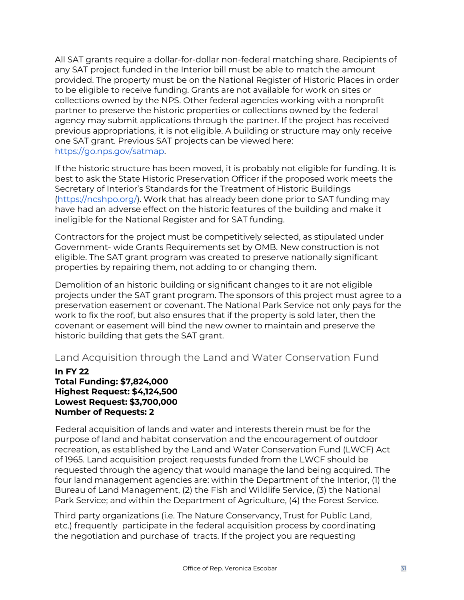All SAT grants require a dollar‐for‐dollar non‐federal matching share. Recipients of any SAT project funded in the Interior bill must be able to match the amount provided. The property must be on the National Register of Historic Places in order to be eligible to receive funding. Grants are not available for work on sites or collections owned by the NPS. Other federal agencies working with a nonprofit partner to preserve the historic properties or collections owned by the federal agency may submit applications through the partner. If the project has received previous appropriations, it is not eligible. A building or structure may only receive one SAT grant. Previous SAT projects can be viewed here: [https://go.nps.gov/satmap.](https://go.nps.gov/satmap)

If the historic structure has been moved, it is probably not eligible for funding. It is best to ask the State Historic Preservation Officer if the proposed work meets the Secretary of Interior's Standards for the Treatment of Historic Buildings [\(https://ncshpo.org/\)](https://ncshpo.org/). Work that has already been done prior to SAT funding may have had an adverse effect on the historic features of the building and make it ineligible for the National Register and for SAT funding.

Contractors for the project must be competitively selected, as stipulated under Government‐ wide Grants Requirements set by OMB. New construction is not eligible. The SAT grant program was created to preserve nationally significant properties by repairing them, not adding to or changing them.

Demolition of an historic building or significant changes to it are not eligible projects under the SAT grant program. The sponsors of this project must agree to a preservation easement or covenant. The National Park Service not only pays for the work to fix the roof, but also ensures that if the property is sold later, then the covenant or easement will bind the new owner to maintain and preserve the historic building that gets the SAT grant.

<span id="page-30-0"></span>Land Acquisition through the Land and Water Conservation Fund

#### **In FY 22 Total Funding: \$7,824,000 Highest Request: \$4,124,500 Lowest Request: \$3,700,000 Number of Requests: 2**

Federal acquisition of lands and water and interests therein must be for the purpose of land and habitat conservation and the encouragement of outdoor recreation, as established by the Land and Water Conservation Fund (LWCF) Act of 1965. Land acquisition project requests funded from the LWCF should be requested through the agency that would manage the land being acquired. The four land management agencies are: within the Department of the Interior, (1) the Bureau of Land Management, (2) the Fish and Wildlife Service, (3) the National Park Service; and within the Department of Agriculture, (4) the Forest Service.

Third party organizations (i.e. The Nature Conservancy, Trust for Public Land, etc.) frequently participate in the federal acquisition process by coordinating the negotiation and purchase of tracts. If the project you are requesting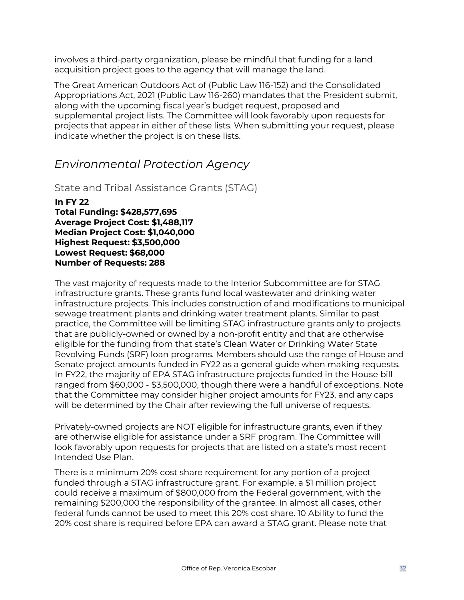involves a third-party organization, please be mindful that funding for a land acquisition project goes to the agency that will manage the land.

The Great American Outdoors Act of (Public Law 116-152) and the Consolidated Appropriations Act, 2021 (Public Law 116-260) mandates that the President submit, along with the upcoming fiscal year's budget request, proposed and supplemental project lists. The Committee will look favorably upon requests for projects that appear in either of these lists. When submitting your request, please indicate whether the project is on these lists.

# <span id="page-31-0"></span>*Environmental Protection Agency*

<span id="page-31-1"></span>State and Tribal Assistance Grants (STAG)

**In FY 22 Total Funding: \$428,577,695 Average Project Cost: \$1,488,117 Median Project Cost: \$1,040,000 Highest Request: \$3,500,000 Lowest Request: \$68,000 Number of Requests: 288**

The vast majority of requests made to the Interior Subcommittee are for STAG infrastructure grants. These grants fund local wastewater and drinking water infrastructure projects. This includes construction of and modifications to municipal sewage treatment plants and drinking water treatment plants. Similar to past practice, the Committee will be limiting STAG infrastructure grants only to projects that are publicly-owned or owned by a non-profit entity and that are otherwise eligible for the funding from that state's Clean Water or Drinking Water State Revolving Funds (SRF) loan programs. Members should use the range of House and Senate project amounts funded in FY22 as a general guide when making requests. In FY22, the majority of EPA STAG infrastructure projects funded in the House bill ranged from \$60,000 - \$3,500,000, though there were a handful of exceptions. Note that the Committee may consider higher project amounts for FY23, and any caps will be determined by the Chair after reviewing the full universe of requests.

Privately-owned projects are NOT eligible for infrastructure grants, even if they are otherwise eligible for assistance under a SRF program. The Committee will look favorably upon requests for projects that are listed on a state's most recent Intended Use Plan.

There is a minimum 20% cost share requirement for any portion of a project funded through a STAG infrastructure grant. For example, a \$1 million project could receive a maximum of \$800,000 from the Federal government, with the remaining \$200,000 the responsibility of the grantee. In almost all cases, other federal funds cannot be used to meet this 20% cost share. 10 Ability to fund the 20% cost share is required before EPA can award a STAG grant. Please note that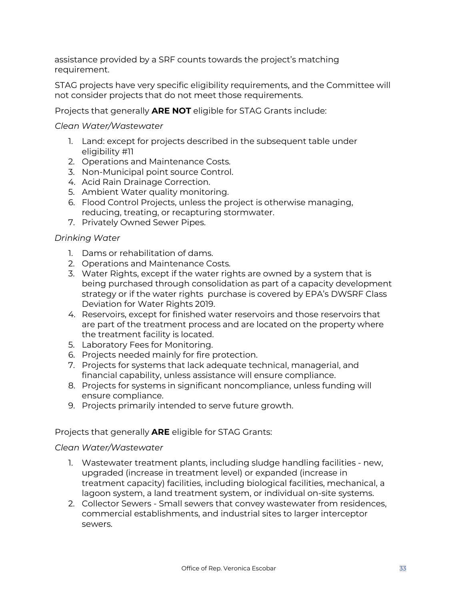assistance provided by a SRF counts towards the project's matching requirement.

STAG projects have very specific eligibility requirements, and the Committee will not consider projects that do not meet those requirements.

Projects that generally **ARE NOT** eligible for STAG Grants include:

#### *Clean Water/Wastewater*

- 1. Land: except for projects described in the subsequent table under eligibility #11
- 2. Operations and Maintenance Costs.
- 3. Non-Municipal point source Control.
- 4. Acid Rain Drainage Correction.
- 5. Ambient Water quality monitoring.
- 6. Flood Control Projects, unless the project is otherwise managing, reducing, treating, or recapturing stormwater.
- 7. Privately Owned Sewer Pipes.

### *Drinking Water*

- 1. Dams or rehabilitation of dams.
- 2. Operations and Maintenance Costs.
- 3. Water Rights, except if the water rights are owned by a system that is being purchased through consolidation as part of a capacity development strategy or if the water rights purchase is covered by EPA's DWSRF Class Deviation for Water Rights 2019.
- 4. Reservoirs, except for finished water reservoirs and those reservoirs that are part of the treatment process and are located on the property where the treatment facility is located.
- 5. Laboratory Fees for Monitoring.
- 6. Projects needed mainly for fire protection.
- 7. Projects for systems that lack adequate technical, managerial, and financial capability, unless assistance will ensure compliance.
- 8. Projects for systems in significant noncompliance, unless funding will ensure compliance.
- 9. Projects primarily intended to serve future growth.

### Projects that generally **ARE** eligible for STAG Grants:

#### *Clean Water/Wastewater*

- 1. Wastewater treatment plants, including sludge handling facilities ‐ new, upgraded (increase in treatment level) or expanded (increase in treatment capacity) facilities, including biological facilities, mechanical, a lagoon system, a land treatment system, or individual on‐site systems.
- 2. Collector Sewers Small sewers that convey wastewater from residences, commercial establishments, and industrial sites to larger interceptor sewers.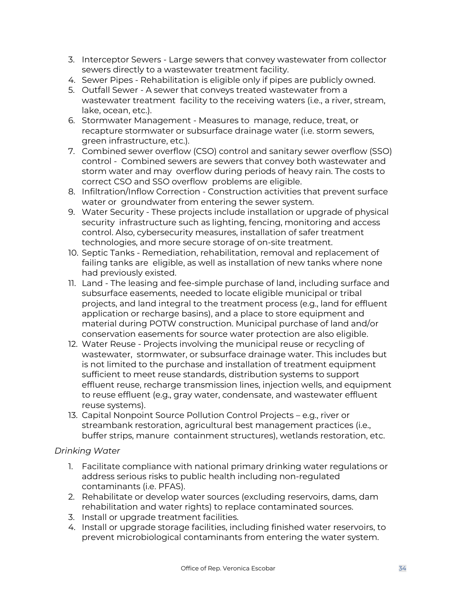- 3. Interceptor Sewers Large sewers that convey wastewater from collector sewers directly to a wastewater treatment facility.
- 4. Sewer Pipes Rehabilitation is eligible only if pipes are publicly owned.
- 5. Outfall Sewer A sewer that conveys treated wastewater from a wastewater treatment facility to the receiving waters (i.e., a river, stream, lake, ocean, etc.).
- 6. Stormwater Management Measures to manage, reduce, treat, or recapture stormwater or subsurface drainage water (i.e. storm sewers, green infrastructure, etc.).
- 7. Combined sewer overflow (CSO) control and sanitary sewer overflow (SSO) control ‐ Combined sewers are sewers that convey both wastewater and storm water and may overflow during periods of heavy rain. The costs to correct CSO and SSO overflow problems are eligible.
- 8. Infiltration/Inflow Correction ‐ Construction activities that prevent surface water or groundwater from entering the sewer system.
- 9. Water Security These projects include installation or upgrade of physical security infrastructure such as lighting, fencing, monitoring and access control. Also, cybersecurity measures, installation of safer treatment technologies, and more secure storage of on‐site treatment.
- 10. Septic Tanks ‐ Remediation, rehabilitation, removal and replacement of failing tanks are eligible, as well as installation of new tanks where none had previously existed.
- 11. Land The leasing and fee‐simple purchase of land, including surface and subsurface easements, needed to locate eligible municipal or tribal projects, and land integral to the treatment process (e.g., land for effluent application or recharge basins), and a place to store equipment and material during POTW construction. Municipal purchase of land and/or conservation easements for source water protection are also eligible.
- 12. Water Reuse ‐ Projects involving the municipal reuse or recycling of wastewater, stormwater, or subsurface drainage water. This includes but is not limited to the purchase and installation of treatment equipment sufficient to meet reuse standards, distribution systems to support effluent reuse, recharge transmission lines, injection wells, and equipment to reuse effluent (e.g., gray water, condensate, and wastewater effluent reuse systems).
- 13. Capital Nonpoint Source Pollution Control Projects e.g., river or streambank restoration, agricultural best management practices (i.e., buffer strips, manure containment structures), wetlands restoration, etc.

### *Drinking Water*

- 1. Facilitate compliance with national primary drinking water regulations or address serious risks to public health including non-regulated contaminants (i.e. PFAS).
- 2. Rehabilitate or develop water sources (excluding reservoirs, dams, dam rehabilitation and water rights) to replace contaminated sources.
- 3. Install or upgrade treatment facilities.
- 4. Install or upgrade storage facilities, including finished water reservoirs, to prevent microbiological contaminants from entering the water system.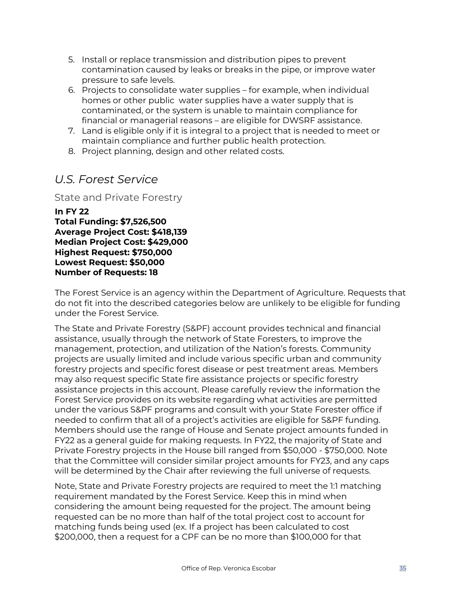- 5. Install or replace transmission and distribution pipes to prevent contamination caused by leaks or breaks in the pipe, or improve water pressure to safe levels.
- 6. Projects to consolidate water supplies for example, when individual homes or other public water supplies have a water supply that is contaminated, or the system is unable to maintain compliance for financial or managerial reasons – are eligible for DWSRF assistance.
- 7. Land is eligible only if it is integral to a project that is needed to meet or maintain compliance and further public health protection.
- 8. Project planning, design and other related costs.

# <span id="page-34-0"></span>*U.S. Forest Service*

<span id="page-34-1"></span>State and Private Forestry

**In FY 22 Total Funding: \$7,526,500 Average Project Cost: \$418,139 Median Project Cost: \$429,000 Highest Request: \$750,000 Lowest Request: \$50,000 Number of Requests: 18** 

The Forest Service is an agency within the Department of Agriculture. Requests that do not fit into the described categories below are unlikely to be eligible for funding under the Forest Service.

The State and Private Forestry (S&PF) account provides technical and financial assistance, usually through the network of State Foresters, to improve the management, protection, and utilization of the Nation's forests. Community projects are usually limited and include various specific urban and community forestry projects and specific forest disease or pest treatment areas. Members may also request specific State fire assistance projects or specific forestry assistance projects in this account. Please carefully review the information the Forest Service provides on its website regarding what activities are permitted under the various S&PF programs and consult with your State Forester office if needed to confirm that all of a project's activities are eligible for S&PF funding. Members should use the range of House and Senate project amounts funded in FY22 as a general guide for making requests. In FY22, the majority of State and Private Forestry projects in the House bill ranged from \$50,000 - \$750,000. Note that the Committee will consider similar project amounts for FY23, and any caps will be determined by the Chair after reviewing the full universe of requests.

Note, State and Private Forestry projects are required to meet the 1:1 matching requirement mandated by the Forest Service. Keep this in mind when considering the amount being requested for the project. The amount being requested can be no more than half of the total project cost to account for matching funds being used (ex. If a project has been calculated to cost \$200,000, then a request for a CPF can be no more than \$100,000 for that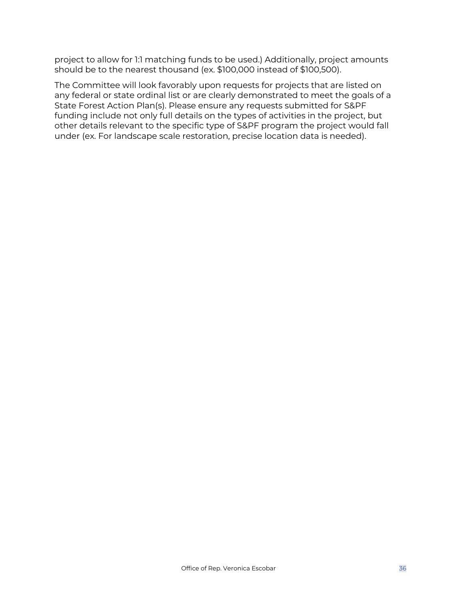project to allow for 1:1 matching funds to be used.) Additionally, project amounts should be to the nearest thousand (ex. \$100,000 instead of \$100,500).

The Committee will look favorably upon requests for projects that are listed on any federal or state ordinal list or are clearly demonstrated to meet the goals of a State Forest Action Plan(s). Please ensure any requests submitted for S&PF funding include not only full details on the types of activities in the project, but other details relevant to the specific type of S&PF program the project would fall under (ex. For landscape scale restoration, precise location data is needed).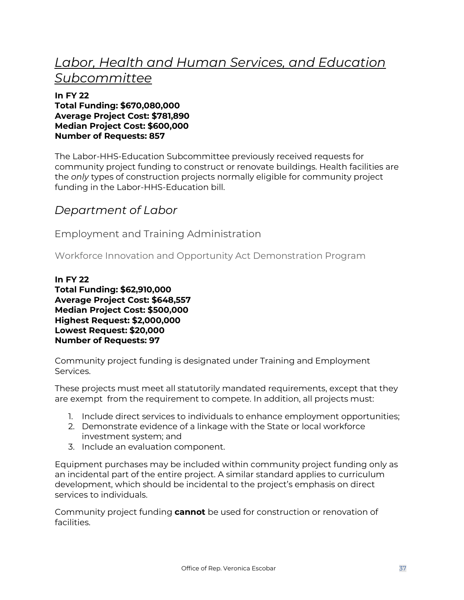# <span id="page-36-0"></span>*Labor, Health and Human Services, and Education Subcommittee*

#### **In FY 22 Total Funding: \$670,080,000 Average Project Cost: \$781,890 Median Project Cost: \$600,000 Number of Requests: 857**

The Labor‐HHS‐Education Subcommittee previously received requests for community project funding to construct or renovate buildings. Health facilities are the *only* types of construction projects normally eligible for community project funding in the Labor‐HHS‐Education bill.

# <span id="page-36-1"></span>*Department of Labor*

<span id="page-36-2"></span>Employment and Training Administration

<span id="page-36-3"></span>Workforce Innovation and Opportunity Act Demonstration Program

#### **In FY 22 Total Funding: \$62,910,000 Average Project Cost: \$648,557 Median Project Cost: \$500,000 Highest Request: \$2,000,000 Lowest Request: \$20,000 Number of Requests: 97**

Community project funding is designated under Training and Employment Services.

These projects must meet all statutorily mandated requirements, except that they are exempt from the requirement to compete. In addition, all projects must:

- 1. Include direct services to individuals to enhance employment opportunities;
- 2. Demonstrate evidence of a linkage with the State or local workforce investment system; and
- 3. Include an evaluation component.

Equipment purchases may be included within community project funding only as an incidental part of the entire project. A similar standard applies to curriculum development, which should be incidental to the project's emphasis on direct services to individuals.

Community project funding **cannot** be used for construction or renovation of facilities.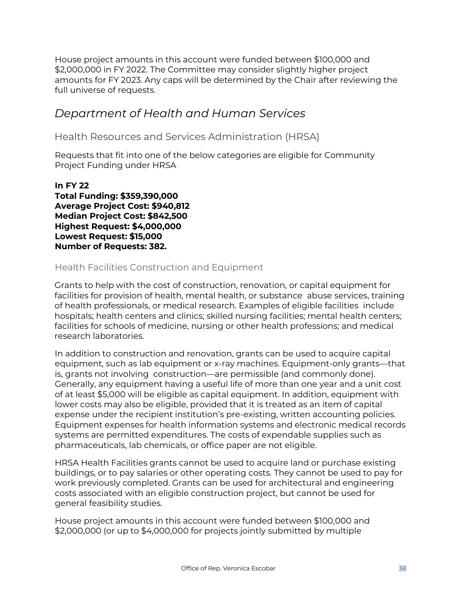House project amounts in this account were funded between \$100,000 and \$2,000,000 in FY 2022. The Committee may consider slightly higher project amounts for FY 2023. Any caps will be determined by the Chair after reviewing the full universe of requests.

# <span id="page-37-0"></span>*Department of Health and Human Services*

<span id="page-37-1"></span>Health Resources and Services Administration (HRSA)

Requests that fit into one of the below categories are eligible for Community Project Funding under HRSA

**In FY 22 Total Funding: \$359,390,000 Average Project Cost: \$940,812 Median Project Cost: \$842,500 Highest Request: \$4,000,000 Lowest Request: \$15,000 Number of Requests: 382.** 

### Health Facilities Construction and Equipment

Grants to help with the cost of construction, renovation, or capital equipment for facilities for provision of health, mental health, or substance abuse services, training of health professionals, or medical research. Examples of eligible facilities include hospitals; health centers and clinics; skilled nursing facilities; mental health centers; facilities for schools of medicine, nursing or other health professions; and medical research laboratories.

In addition to construction and renovation, grants can be used to acquire capital equipment, such as lab equipment or x-ray machines. Equipment-only grants—that is, grants not involving construction—are permissible (and commonly done). Generally, any equipment having a useful life of more than one year and a unit cost of at least \$5,000 will be eligible as capital equipment. In addition, equipment with lower costs may also be eligible, provided that it is treated as an item of capital expense under the recipient institution's pre‐existing, written accounting policies. Equipment expenses for health information systems and electronic medical records systems are permitted expenditures. The costs of expendable supplies such as pharmaceuticals, lab chemicals, or office paper are not eligible.

HRSA Health Facilities grants cannot be used to acquire land or purchase existing buildings, or to pay salaries or other operating costs. They cannot be used to pay for work previously completed. Grants can be used for architectural and engineering costs associated with an eligible construction project, but cannot be used for general feasibility studies.

House project amounts in this account were funded between \$100,000 and \$2,000,000 (or up to \$4,000,000 for projects jointly submitted by multiple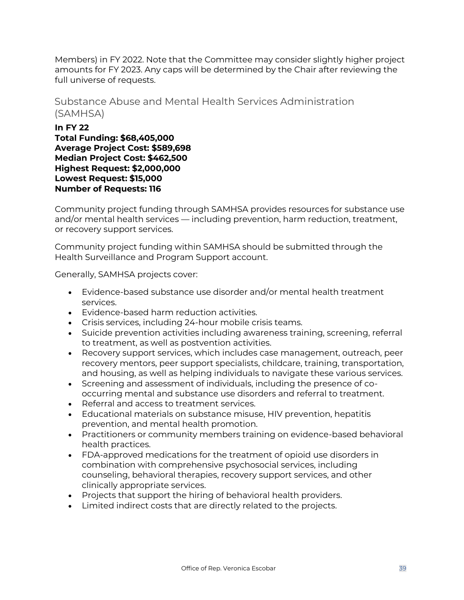Members) in FY 2022. Note that the Committee may consider slightly higher project amounts for FY 2023. Any caps will be determined by the Chair after reviewing the full universe of requests.

### <span id="page-38-0"></span>Substance Abuse and Mental Health Services Administration (SAMHSA)

**In FY 22 Total Funding: \$68,405,000 Average Project Cost: \$589,698 Median Project Cost: \$462,500 Highest Request: \$2,000,000 Lowest Request: \$15,000 Number of Requests: 116**

Community project funding through SAMHSA provides resources for substance use and/or mental health services — including prevention, harm reduction, treatment, or recovery support services.

Community project funding within SAMHSA should be submitted through the Health Surveillance and Program Support account.

Generally, SAMHSA projects cover:

- Evidence-based substance use disorder and/or mental health treatment services.
- Evidence-based harm reduction activities.
- Crisis services, including 24-hour mobile crisis teams.
- Suicide prevention activities including awareness training, screening, referral to treatment, as well as postvention activities.
- Recovery support services, which includes case management, outreach, peer recovery mentors, peer support specialists, childcare, training, transportation, and housing, as well as helping individuals to navigate these various services.
- Screening and assessment of individuals, including the presence of cooccurring mental and substance use disorders and referral to treatment.
- Referral and access to treatment services.
- Educational materials on substance misuse, HIV prevention, hepatitis prevention, and mental health promotion.
- Practitioners or community members training on evidence-based behavioral health practices.
- FDA-approved medications for the treatment of opioid use disorders in combination with comprehensive psychosocial services, including counseling, behavioral therapies, recovery support services, and other clinically appropriate services.
- Projects that support the hiring of behavioral health providers.
- Limited indirect costs that are directly related to the projects.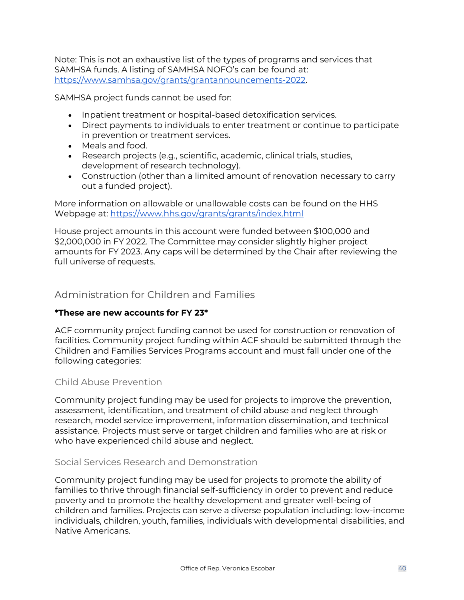Note: This is not an exhaustive list of the types of programs and services that SAMHSA funds. A listing of SAMHSA NOFO's can be found at: [https://www.samhsa.gov/grants/grantannouncements-2022.](https://www.samhsa.gov/grants/grantannouncements-2022)

SAMHSA project funds cannot be used for:

- Inpatient treatment or hospital-based detoxification services.
- Direct payments to individuals to enter treatment or continue to participate in prevention or treatment services.
- Meals and food.
- Research projects (e.g., scientific, academic, clinical trials, studies, development of research technology).
- Construction (other than a limited amount of renovation necessary to carry out a funded project).

More information on allowable or unallowable costs can be found on the HHS Webpage at:<https://www.hhs.gov/grants/grants/index.html>

House project amounts in this account were funded between \$100,000 and \$2,000,000 in FY 2022. The Committee may consider slightly higher project amounts for FY 2023. Any caps will be determined by the Chair after reviewing the full universe of requests.

### <span id="page-39-0"></span>Administration for Children and Families

### **\*These are new accounts for FY 23\***

ACF community project funding cannot be used for construction or renovation of facilities. Community project funding within ACF should be submitted through the Children and Families Services Programs account and must fall under one of the following categories:

### <span id="page-39-1"></span>Child Abuse Prevention

Community project funding may be used for projects to improve the prevention, assessment, identification, and treatment of child abuse and neglect through research, model service improvement, information dissemination, and technical assistance. Projects must serve or target children and families who are at risk or who have experienced child abuse and neglect.

### <span id="page-39-2"></span>Social Services Research and Demonstration

Community project funding may be used for projects to promote the ability of families to thrive through financial self-sufficiency in order to prevent and reduce poverty and to promote the healthy development and greater well-being of children and families. Projects can serve a diverse population including: low-income individuals, children, youth, families, individuals with developmental disabilities, and Native Americans.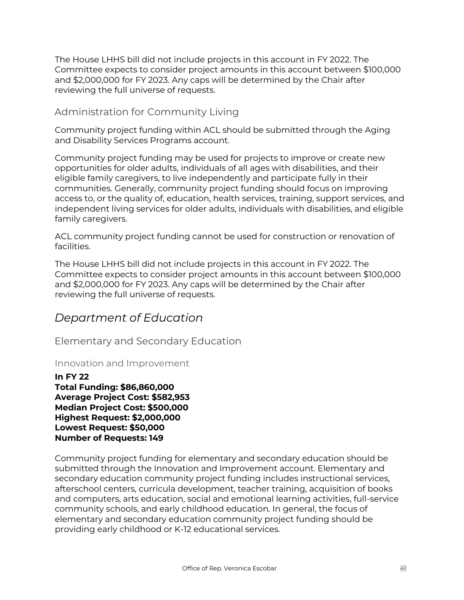The House LHHS bill did not include projects in this account in FY 2022. The Committee expects to consider project amounts in this account between \$100,000 and \$2,000,000 for FY 2023. Any caps will be determined by the Chair after reviewing the full universe of requests.

### <span id="page-40-0"></span>Administration for Community Living

Community project funding within ACL should be submitted through the Aging and Disability Services Programs account.

Community project funding may be used for projects to improve or create new opportunities for older adults, individuals of all ages with disabilities, and their eligible family caregivers, to live independently and participate fully in their communities. Generally, community project funding should focus on improving access to, or the quality of, education, health services, training, support services, and independent living services for older adults, individuals with disabilities, and eligible family caregivers.

ACL community project funding cannot be used for construction or renovation of facilities.

The House LHHS bill did not include projects in this account in FY 2022. The Committee expects to consider project amounts in this account between \$100,000 and \$2,000,000 for FY 2023. Any caps will be determined by the Chair after reviewing the full universe of requests.

# <span id="page-40-1"></span>*Department of Education*

<span id="page-40-2"></span>Elementary and Secondary Education

### <span id="page-40-3"></span>Innovation and Improvement

**In FY 22 Total Funding: \$86,860,000 Average Project Cost: \$582,953 Median Project Cost: \$500,000 Highest Request: \$2,000,000 Lowest Request: \$50,000 Number of Requests: 149** 

Community project funding for elementary and secondary education should be submitted through the Innovation and Improvement account. Elementary and secondary education community project funding includes instructional services, afterschool centers, curricula development, teacher training, acquisition of books and computers, arts education, social and emotional learning activities, full-service community schools, and early childhood education. In general, the focus of elementary and secondary education community project funding should be providing early childhood or K‐12 educational services.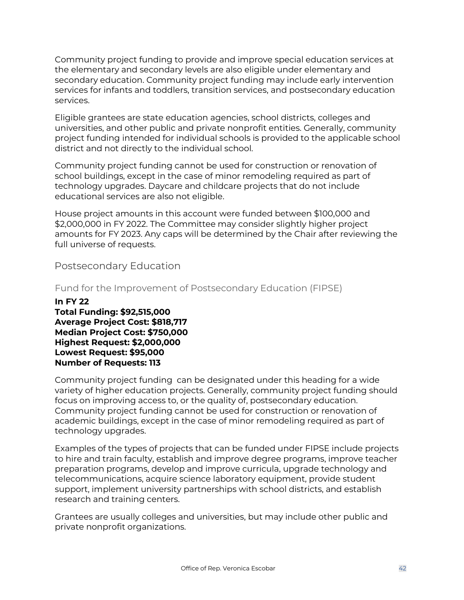Community project funding to provide and improve special education services at the elementary and secondary levels are also eligible under elementary and secondary education. Community project funding may include early intervention services for infants and toddlers, transition services, and postsecondary education services.

Eligible grantees are state education agencies, school districts, colleges and universities, and other public and private nonprofit entities. Generally, community project funding intended for individual schools is provided to the applicable school district and not directly to the individual school.

Community project funding cannot be used for construction or renovation of school buildings, except in the case of minor remodeling required as part of technology upgrades. Daycare and childcare projects that do not include educational services are also not eligible.

House project amounts in this account were funded between \$100,000 and \$2,000,000 in FY 2022. The Committee may consider slightly higher project amounts for FY 2023. Any caps will be determined by the Chair after reviewing the full universe of requests.

### <span id="page-41-0"></span>Postsecondary Education

<span id="page-41-1"></span>Fund for the Improvement of Postsecondary Education (FIPSE)

**In FY 22 Total Funding: \$92,515,000 Average Project Cost: \$818,717 Median Project Cost: \$750,000 Highest Request: \$2,000,000 Lowest Request: \$95,000 Number of Requests: 113** 

Community project funding can be designated under this heading for a wide variety of higher education projects. Generally, community project funding should focus on improving access to, or the quality of, postsecondary education. Community project funding cannot be used for construction or renovation of academic buildings, except in the case of minor remodeling required as part of technology upgrades.

Examples of the types of projects that can be funded under FIPSE include projects to hire and train faculty, establish and improve degree programs, improve teacher preparation programs, develop and improve curricula, upgrade technology and telecommunications, acquire science laboratory equipment, provide student support, implement university partnerships with school districts, and establish research and training centers.

Grantees are usually colleges and universities, but may include other public and private nonprofit organizations.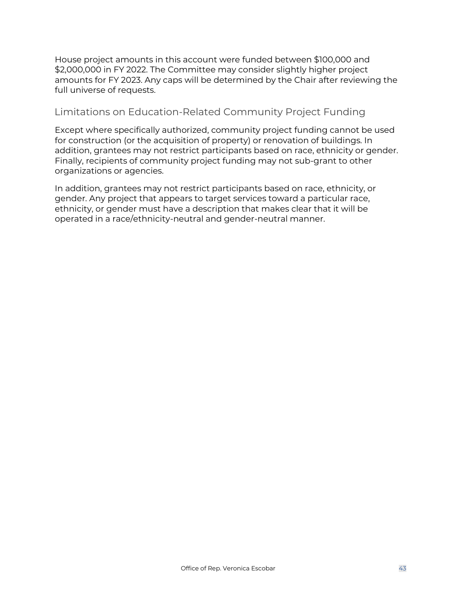House project amounts in this account were funded between \$100,000 and \$2,000,000 in FY 2022. The Committee may consider slightly higher project amounts for FY 2023. Any caps will be determined by the Chair after reviewing the full universe of requests.

### <span id="page-42-0"></span>Limitations on Education-Related Community Project Funding

Except where specifically authorized, community project funding cannot be used for construction (or the acquisition of property) or renovation of buildings. In addition, grantees may not restrict participants based on race, ethnicity or gender. Finally, recipients of community project funding may not sub-grant to other organizations or agencies.

In addition, grantees may not restrict participants based on race, ethnicity, or gender. Any project that appears to target services toward a particular race, ethnicity, or gender must have a description that makes clear that it will be operated in a race/ethnicity-neutral and gender-neutral manner.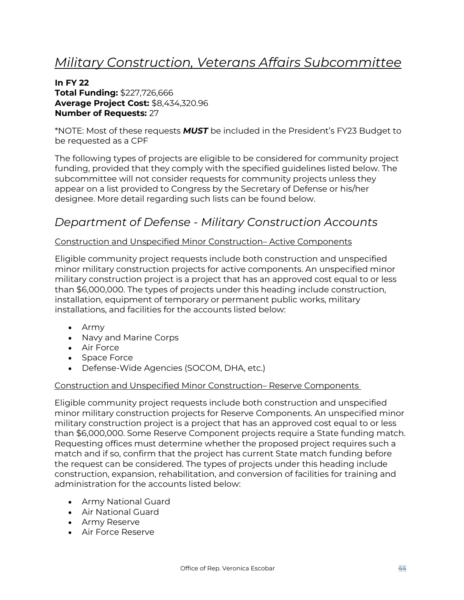# <span id="page-43-0"></span>*Military Construction, Veterans Affairs Subcommittee*

#### **In FY 22 Total Funding:** \$227,726,666 **Average Project Cost:** \$8,434,320.96 **Number of Requests:** 27

\*NOTE: Most of these requests *MUST* be included in the President's FY23 Budget to be requested as a CPF

The following types of projects are eligible to be considered for community project funding, provided that they comply with the specified guidelines listed below. The subcommittee will not consider requests for community projects unless they appear on a list provided to Congress by the Secretary of Defense or his/her designee. More detail regarding such lists can be found below.

# <span id="page-43-1"></span>*Department of Defense - Military Construction Accounts*

#### Construction and Unspecified Minor Construction– Active Components

Eligible community project requests include both construction and unspecified minor military construction projects for active components. An unspecified minor military construction project is a project that has an approved cost equal to or less than \$6,000,000. The types of projects under this heading include construction, installation, equipment of temporary or permanent public works, military installations, and facilities for the accounts listed below:

- Army
- Navy and Marine Corps
- Air Force
- Space Force
- Defense-Wide Agencies (SOCOM, DHA, etc.)

#### Construction and Unspecified Minor Construction– Reserve Components

Eligible community project requests include both construction and unspecified minor military construction projects for Reserve Components. An unspecified minor military construction project is a project that has an approved cost equal to or less than \$6,000,000. Some Reserve Component projects require a State funding match. Requesting offices must determine whether the proposed project requires such a match and if so, confirm that the project has current State match funding before the request can be considered. The types of projects under this heading include construction, expansion, rehabilitation, and conversion of facilities for training and administration for the accounts listed below:

- Army National Guard
- Air National Guard
- Army Reserve
- Air Force Reserve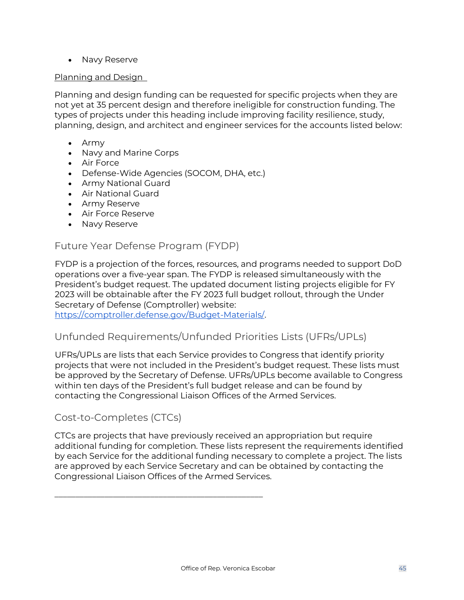• Navy Reserve

#### Planning and Design

Planning and design funding can be requested for specific projects when they are not yet at 35 percent design and therefore ineligible for construction funding. The types of projects under this heading include improving facility resilience, study, planning, design, and architect and engineer services for the accounts listed below:

- Army
- Navy and Marine Corps
- Air Force
- Defense-Wide Agencies (SOCOM, DHA, etc.)
- Army National Guard
- Air National Guard
- Army Reserve
- Air Force Reserve
- Navy Reserve

### <span id="page-44-0"></span>Future Year Defense Program (FYDP)

FYDP is a projection of the forces, resources, and programs needed to support DoD operations over a five-year span. The FYDP is released simultaneously with the President's budget request. The updated document listing projects eligible for FY 2023 will be obtainable after the FY 2023 full budget rollout, through the Under Secretary of Defense (Comptroller) website:

<span id="page-44-1"></span>[https://comptroller.defense.gov/Budget-Materials/.](https://comptroller.defense.gov/Budget-Materials/)

\_\_\_\_\_\_\_\_\_\_\_\_\_\_\_\_\_\_\_\_\_\_\_\_\_\_\_\_\_\_\_\_\_\_\_\_\_\_\_\_\_\_\_\_\_\_\_\_\_\_

### Unfunded Requirements/Unfunded Priorities Lists (UFRs/UPLs)

UFRs/UPLs are lists that each Service provides to Congress that identify priority projects that were not included in the President's budget request. These lists must be approved by the Secretary of Defense. UFRs/UPLs become available to Congress within ten days of the President's full budget release and can be found by contacting the Congressional Liaison Offices of the Armed Services.

### <span id="page-44-2"></span>Cost-to-Completes (CTCs)

CTCs are projects that have previously received an appropriation but require additional funding for completion. These lists represent the requirements identified by each Service for the additional funding necessary to complete a project. The lists are approved by each Service Secretary and can be obtained by contacting the Congressional Liaison Offices of the Armed Services.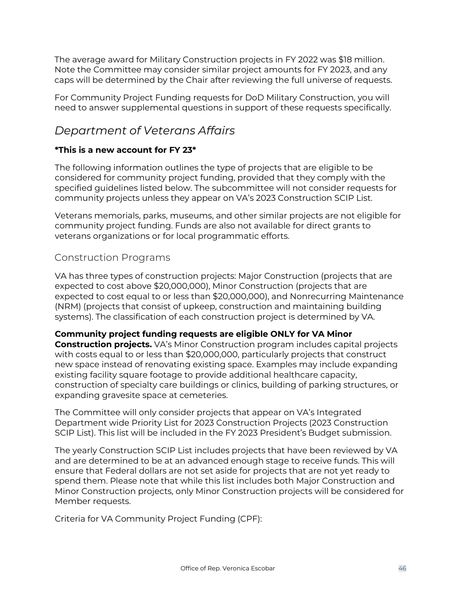The average award for Military Construction projects in FY 2022 was \$18 million. Note the Committee may consider similar project amounts for FY 2023, and any caps will be determined by the Chair after reviewing the full universe of requests.

For Community Project Funding requests for DoD Military Construction, you will need to answer supplemental questions in support of these requests specifically.

# <span id="page-45-0"></span>*Department of Veterans Affairs*

### **\*This is a new account for FY 23\***

The following information outlines the type of projects that are eligible to be considered for community project funding, provided that they comply with the specified guidelines listed below. The subcommittee will not consider requests for community projects unless they appear on VA's 2023 Construction SCIP List.

Veterans memorials, parks, museums, and other similar projects are not eligible for community project funding. Funds are also not available for direct grants to veterans organizations or for local programmatic efforts.

## <span id="page-45-1"></span>Construction Programs

VA has three types of construction projects: Major Construction (projects that are expected to cost above \$20,000,000), Minor Construction (projects that are expected to cost equal to or less than \$20,000,000), and Nonrecurring Maintenance (NRM) (projects that consist of upkeep, construction and maintaining building systems). The classification of each construction project is determined by VA.

### **Community project funding requests are eligible ONLY for VA Minor**

**Construction projects.** VA's Minor Construction program includes capital projects with costs equal to or less than \$20,000,000, particularly projects that construct new space instead of renovating existing space. Examples may include expanding existing facility square footage to provide additional healthcare capacity, construction of specialty care buildings or clinics, building of parking structures, or expanding gravesite space at cemeteries.

The Committee will only consider projects that appear on VA's Integrated Department wide Priority List for 2023 Construction Projects (2023 Construction SCIP List). This list will be included in the FY 2023 President's Budget submission.

The yearly Construction SCIP List includes projects that have been reviewed by VA and are determined to be at an advanced enough stage to receive funds. This will ensure that Federal dollars are not set aside for projects that are not yet ready to spend them. Please note that while this list includes both Major Construction and Minor Construction projects, only Minor Construction projects will be considered for Member requests.

Criteria for VA Community Project Funding (CPF):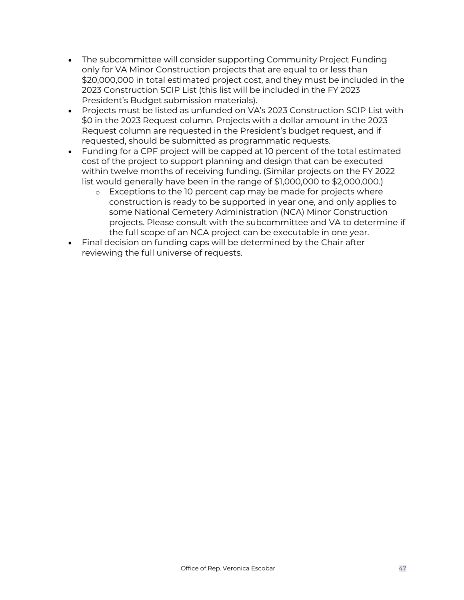- The subcommittee will consider supporting Community Project Funding only for VA Minor Construction projects that are equal to or less than \$20,000,000 in total estimated project cost, and they must be included in the 2023 Construction SCIP List (this list will be included in the FY 2023 President's Budget submission materials).
- Projects must be listed as unfunded on VA's 2023 Construction SCIP List with \$0 in the 2023 Request column. Projects with a dollar amount in the 2023 Request column are requested in the President's budget request, and if requested, should be submitted as programmatic requests.
- Funding for a CPF project will be capped at 10 percent of the total estimated cost of the project to support planning and design that can be executed within twelve months of receiving funding. (Similar projects on the FY 2022 list would generally have been in the range of \$1,000,000 to \$2,000,000.)
	- o Exceptions to the 10 percent cap may be made for projects where construction is ready to be supported in year one, and only applies to some National Cemetery Administration (NCA) Minor Construction projects. Please consult with the subcommittee and VA to determine if the full scope of an NCA project can be executable in one year.
- Final decision on funding caps will be determined by the Chair after reviewing the full universe of requests.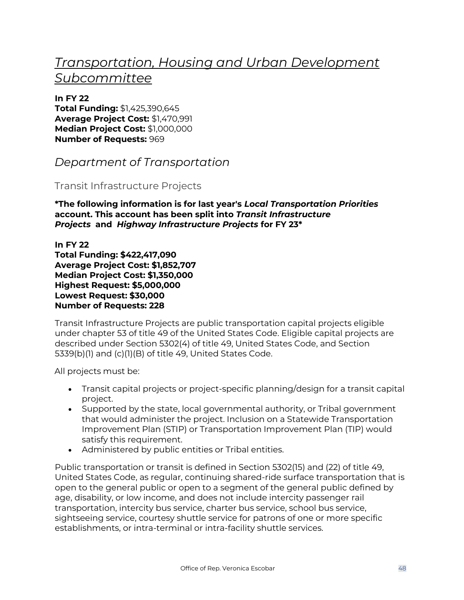# <span id="page-47-0"></span>*Transportation, Housing and Urban Development Subcommittee*

**In FY 22 Total Funding:** \$1,425,390,645 **Average Project Cost:** \$1,470,991 **Median Project Cost:** \$1,000,000 **Number of Requests:** 969

<span id="page-47-1"></span>*Department of Transportation*

### <span id="page-47-2"></span>Transit Infrastructure Projects

**\*The following information is for last year's** *Local Transportation Priorities* **account. This account has been split into** *Transit Infrastructure Projects* **and** *Highway Infrastructure Projects* **for FY 23\***

**In FY 22 Total Funding: \$422,417,090 Average Project Cost: \$1,852,707 Median Project Cost: \$1,350,000 Highest Request: \$5,000,000 Lowest Request: \$30,000 Number of Requests: 228** 

Transit Infrastructure Projects are public transportation capital projects eligible under chapter 53 of title 49 of the United States Code. Eligible capital projects are described under Section 5302(4) of title 49, United States Code, and Section 5339(b)(1) and (c)(1)(B) of title 49, United States Code.

All projects must be:

- Transit capital projects or project-specific planning/design for a transit capital project.
- Supported by the state, local governmental authority, or Tribal government that would administer the project. Inclusion on a Statewide Transportation Improvement Plan (STIP) or Transportation Improvement Plan (TIP) would satisfy this requirement.
- Administered by public entities or Tribal entities.

Public transportation or transit is defined in Section 5302(15) and (22) of title 49, United States Code, as regular, continuing shared-ride surface transportation that is open to the general public or open to a segment of the general public defined by age, disability, or low income, and does not include intercity passenger rail transportation, intercity bus service, charter bus service, school bus service, sightseeing service, courtesy shuttle service for patrons of one or more specific establishments, or intra-terminal or intra-facility shuttle services.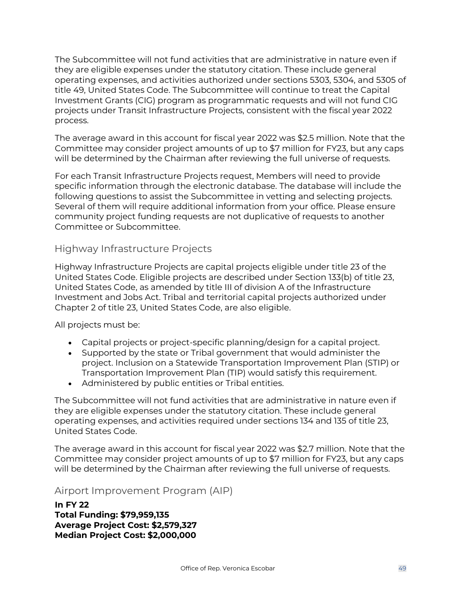The Subcommittee will not fund activities that are administrative in nature even if they are eligible expenses under the statutory citation. These include general operating expenses, and activities authorized under sections 5303, 5304, and 5305 of title 49, United States Code. The Subcommittee will continue to treat the Capital Investment Grants (CIG) program as programmatic requests and will not fund CIG projects under Transit Infrastructure Projects, consistent with the fiscal year 2022 process.

The average award in this account for fiscal year 2022 was \$2.5 million. Note that the Committee may consider project amounts of up to \$7 million for FY23, but any caps will be determined by the Chairman after reviewing the full universe of requests.

For each Transit Infrastructure Projects request, Members will need to provide specific information through the electronic database. The database will include the following questions to assist the Subcommittee in vetting and selecting projects. Several of them will require additional information from your office. Please ensure community project funding requests are not duplicative of requests to another Committee or Subcommittee.

### <span id="page-48-0"></span>Highway Infrastructure Projects

Highway Infrastructure Projects are capital projects eligible under title 23 of the United States Code. Eligible projects are described under Section 133(b) of title 23, United States Code, as amended by title III of division A of the Infrastructure Investment and Jobs Act. Tribal and territorial capital projects authorized under Chapter 2 of title 23, United States Code, are also eligible.

All projects must be:

- Capital projects or project-specific planning/design for a capital project.
- Supported by the state or Tribal government that would administer the project. Inclusion on a Statewide Transportation Improvement Plan (STIP) or Transportation Improvement Plan (TIP) would satisfy this requirement.
- Administered by public entities or Tribal entities.

The Subcommittee will not fund activities that are administrative in nature even if they are eligible expenses under the statutory citation. These include general operating expenses, and activities required under sections 134 and 135 of title 23, United States Code.

The average award in this account for fiscal year 2022 was \$2.7 million. Note that the Committee may consider project amounts of up to \$7 million for FY23, but any caps will be determined by the Chairman after reviewing the full universe of requests.

### <span id="page-48-1"></span>Airport Improvement Program (AIP)

**In FY 22 Total Funding: \$79,959,135 Average Project Cost: \$2,579,327 Median Project Cost: \$2,000,000**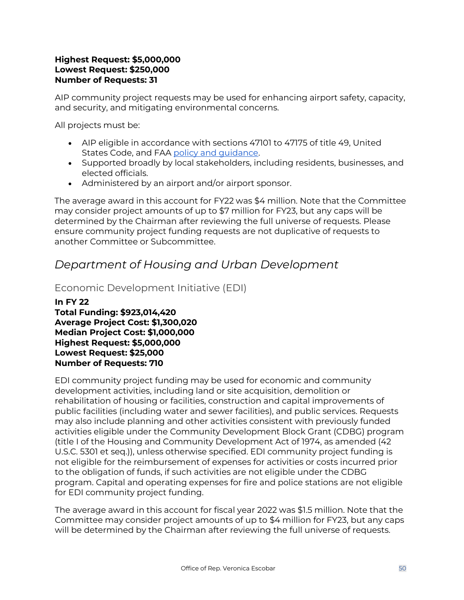#### **Highest Request: \$5,000,000 Lowest Request: \$250,000 Number of Requests: 31**

AIP community project requests may be used for enhancing airport safety, capacity, and security, and mitigating environmental concerns.

All projects must be:

- AIP eligible in accordance with sections 47101 to 47175 of title 49, United States Code, and FAA [policy and guidance.](https://www.faa.gov/airports/aip/)
- Supported broadly by local stakeholders, including residents, businesses, and elected officials.
- Administered by an airport and/or airport sponsor.

The average award in this account for FY22 was \$4 million. Note that the Committee may consider project amounts of up to \$7 million for FY23, but any caps will be determined by the Chairman after reviewing the full universe of requests. Please ensure community project funding requests are not duplicative of requests to another Committee or Subcommittee.

# <span id="page-49-0"></span>*Department of Housing and Urban Development*

<span id="page-49-1"></span>Economic Development Initiative (EDI)

**In FY 22 Total Funding: \$923,014,420 Average Project Cost: \$1,300,020 Median Project Cost: \$1,000,000 Highest Request: \$5,000,000 Lowest Request: \$25,000 Number of Requests: 710** 

EDI community project funding may be used for economic and community development activities, including land or site acquisition, demolition or rehabilitation of housing or facilities, construction and capital improvements of public facilities (including water and sewer facilities), and public services. Requests may also include planning and other activities consistent with previously funded activities eligible under the Community Development Block Grant (CDBG) program (title I of the Housing and Community Development Act of 1974, as amended (42 U.S.C. 5301 et seq.)), unless otherwise specified. EDI community project funding is not eligible for the reimbursement of expenses for activities or costs incurred prior to the obligation of funds, if such activities are not eligible under the CDBG program. Capital and operating expenses for fire and police stations are not eligible for EDI community project funding.

The average award in this account for fiscal year 2022 was \$1.5 million. Note that the Committee may consider project amounts of up to \$4 million for FY23, but any caps will be determined by the Chairman after reviewing the full universe of requests.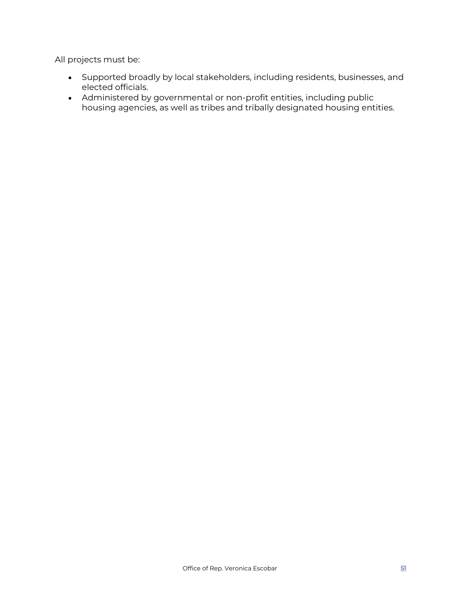All projects must be:

- Supported broadly by local stakeholders, including residents, businesses, and elected officials.
- Administered by governmental or non-profit entities, including public housing agencies, as well as tribes and tribally designated housing entities.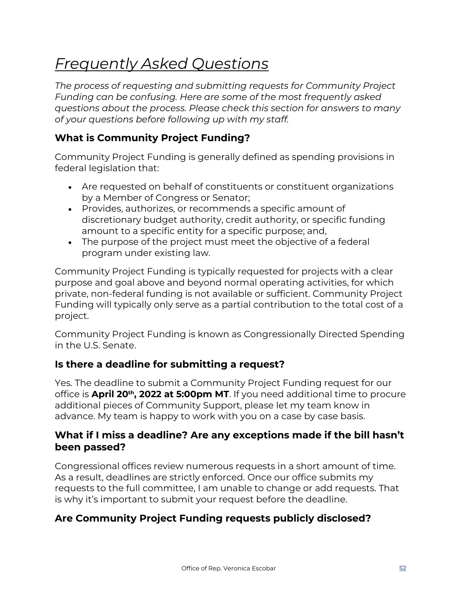# <span id="page-51-0"></span>*Frequently Asked Questions*

*The process of requesting and submitting requests for Community Project Funding can be confusing. Here are some of the most frequently asked questions about the process. Please check this section for answers to many of your questions before following up with my staff.*

# **What is Community Project Funding?**

Community Project Funding is generally defined as spending provisions in federal legislation that:

- Are requested on behalf of constituents or constituent organizations by a Member of Congress or Senator;
- Provides, authorizes, or recommends a specific amount of discretionary budget authority, credit authority, or specific funding amount to a specific entity for a specific purpose; and,
- The purpose of the project must meet the objective of a federal program under existing law.

Community Project Funding is typically requested for projects with a clear purpose and goal above and beyond normal operating activities, for which private, non-federal funding is not available or sufficient. Community Project Funding will typically only serve as a partial contribution to the total cost of a project.

Community Project Funding is known as Congressionally Directed Spending in the U.S. Senate.

# **Is there a deadline for submitting a request?**

Yes. The deadline to submit a Community Project Funding request for our office is **April 20th, 2022 at 5:00pm MT**. If you need additional time to procure additional pieces of Community Support, please let my team know in advance. My team is happy to work with you on a case by case basis.

## **What if I miss a deadline? Are any exceptions made if the bill hasn't been passed?**

Congressional offices review numerous requests in a short amount of time. As a result, deadlines are strictly enforced. Once our office submits my requests to the full committee, I am unable to change or add requests. That is why it's important to submit your request before the deadline.

# **Are Community Project Funding requests publicly disclosed?**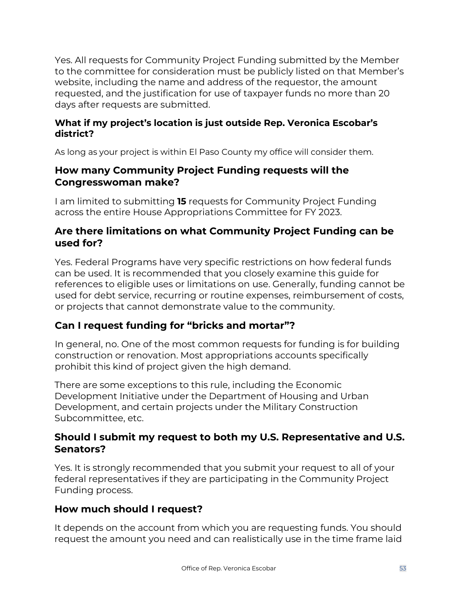Yes. All requests for Community Project Funding submitted by the Member to the committee for consideration must be publicly listed on that Member's website, including the name and address of the requestor, the amount requested, and the justification for use of taxpayer funds no more than 20 days after requests are submitted.

### **What if my project's location is just outside Rep. Veronica Escobar's district?**

As long as your project is within El Paso County my office will consider them.

### **How many Community Project Funding requests will the Congresswoman make?**

I am limited to submitting **15** requests for Community Project Funding across the entire House Appropriations Committee for FY 2023.

# **Are there limitations on what Community Project Funding can be used for?**

Yes. Federal Programs have very specific restrictions on how federal funds can be used. It is recommended that you closely examine this guide for references to eligible uses or limitations on use. Generally, funding cannot be used for debt service, recurring or routine expenses, reimbursement of costs, or projects that cannot demonstrate value to the community.

# **Can I request funding for "bricks and mortar"?**

In general, no. One of the most common requests for funding is for building construction or renovation. Most appropriations accounts specifically prohibit this kind of project given the high demand.

There are some exceptions to this rule, including the Economic Development Initiative under the Department of Housing and Urban Development, and certain projects under the Military Construction Subcommittee, etc.

## **Should I submit my request to both my U.S. Representative and U.S. Senators?**

Yes. It is strongly recommended that you submit your request to all of your federal representatives if they are participating in the Community Project Funding process.

# **How much should I request?**

It depends on the account from which you are requesting funds. You should request the amount you need and can realistically use in the time frame laid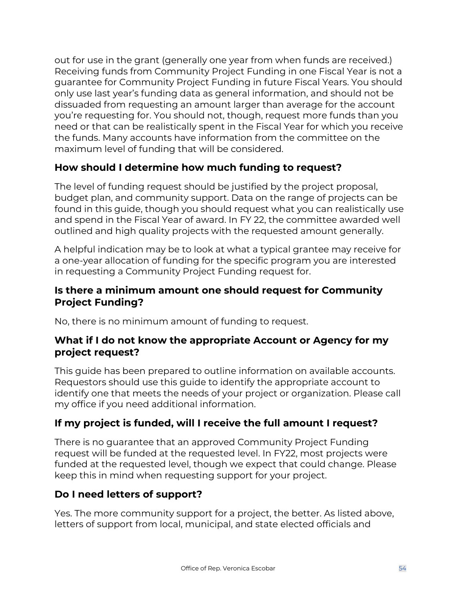out for use in the grant (generally one year from when funds are received.) Receiving funds from Community Project Funding in one Fiscal Year is not a guarantee for Community Project Funding in future Fiscal Years. You should only use last year's funding data as general information, and should not be dissuaded from requesting an amount larger than average for the account you're requesting for. You should not, though, request more funds than you need or that can be realistically spent in the Fiscal Year for which you receive the funds. Many accounts have information from the committee on the maximum level of funding that will be considered.

# **How should I determine how much funding to request?**

The level of funding request should be justified by the project proposal, budget plan, and community support. Data on the range of projects can be found in this guide, though you should request what you can realistically use and spend in the Fiscal Year of award. In FY 22, the committee awarded well outlined and high quality projects with the requested amount generally.

A helpful indication may be to look at what a typical grantee may receive for a one-year allocation of funding for the specific program you are interested in requesting a Community Project Funding request for.

## **Is there a minimum amount one should request for Community Project Funding?**

No, there is no minimum amount of funding to request.

## **What if I do not know the appropriate Account or Agency for my project request?**

This guide has been prepared to outline information on available accounts. Requestors should use this guide to identify the appropriate account to identify one that meets the needs of your project or organization. Please call my office if you need additional information.

# **If my project is funded, will I receive the full amount I request?**

There is no guarantee that an approved Community Project Funding request will be funded at the requested level. In FY22, most projects were funded at the requested level, though we expect that could change. Please keep this in mind when requesting support for your project.

# **Do I need letters of support?**

Yes. The more community support for a project, the better. As listed above, letters of support from local, municipal, and state elected officials and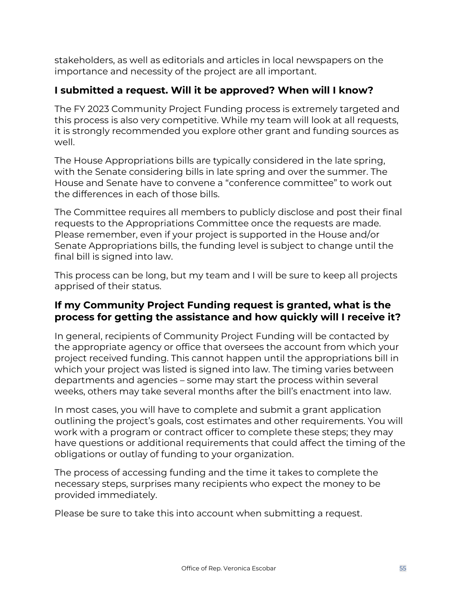stakeholders, as well as editorials and articles in local newspapers on the importance and necessity of the project are all important.

# **I submitted a request. Will it be approved? When will I know?**

The FY 2023 Community Project Funding process is extremely targeted and this process is also very competitive. While my team will look at all requests, it is strongly recommended you explore other grant and funding sources as well.

The House Appropriations bills are typically considered in the late spring, with the Senate considering bills in late spring and over the summer. The House and Senate have to convene a "conference committee" to work out the differences in each of those bills.

The Committee requires all members to publicly disclose and post their final requests to the Appropriations Committee once the requests are made. Please remember, even if your project is supported in the House and/or Senate Appropriations bills, the funding level is subject to change until the final bill is signed into law.

This process can be long, but my team and I will be sure to keep all projects apprised of their status.

### **If my Community Project Funding request is granted, what is the process for getting the assistance and how quickly will I receive it?**

In general, recipients of Community Project Funding will be contacted by the appropriate agency or office that oversees the account from which your project received funding. This cannot happen until the appropriations bill in which your project was listed is signed into law. The timing varies between departments and agencies – some may start the process within several weeks, others may take several months after the bill's enactment into law.

In most cases, you will have to complete and submit a grant application outlining the project's goals, cost estimates and other requirements. You will work with a program or contract officer to complete these steps; they may have questions or additional requirements that could affect the timing of the obligations or outlay of funding to your organization.

The process of accessing funding and the time it takes to complete the necessary steps, surprises many recipients who expect the money to be provided immediately.

Please be sure to take this into account when submitting a request.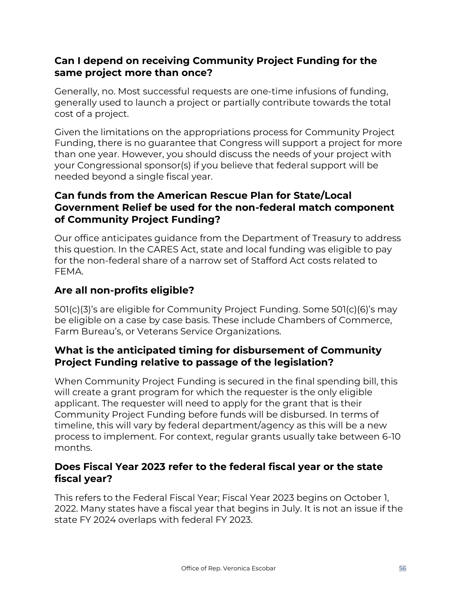### **Can I depend on receiving Community Project Funding for the same project more than once?**

Generally, no. Most successful requests are one‐time infusions of funding, generally used to launch a project or partially contribute towards the total cost of a project.

Given the limitations on the appropriations process for Community Project Funding, there is no guarantee that Congress will support a project for more than one year. However, you should discuss the needs of your project with your Congressional sponsor(s) if you believe that federal support will be needed beyond a single fiscal year.

# **Can funds from the American Rescue Plan for State/Local Government Relief be used for the non-federal match component of Community Project Funding?**

Our office anticipates guidance from the Department of Treasury to address this question. In the CARES Act, state and local funding was eligible to pay for the non-federal share of a narrow set of Stafford Act costs related to FEMA.

# **Are all non-profits eligible?**

501(c)(3)'s are eligible for Community Project Funding. Some 501(c)(6)'s may be eligible on a case by case basis. These include Chambers of Commerce, Farm Bureau's, or Veterans Service Organizations.

# **What is the anticipated timing for disbursement of Community Project Funding relative to passage of the legislation?**

When Community Project Funding is secured in the final spending bill, this will create a grant program for which the requester is the only eligible applicant. The requester will need to apply for the grant that is their Community Project Funding before funds will be disbursed. In terms of timeline, this will vary by federal department/agency as this will be a new process to implement. For context, regular grants usually take between 6-10 months.

# **Does Fiscal Year 2023 refer to the federal fiscal year or the state fiscal year?**

This refers to the Federal Fiscal Year; Fiscal Year 2023 begins on October 1, 2022. Many states have a fiscal year that begins in July. It is not an issue if the state FY 2024 overlaps with federal FY 2023.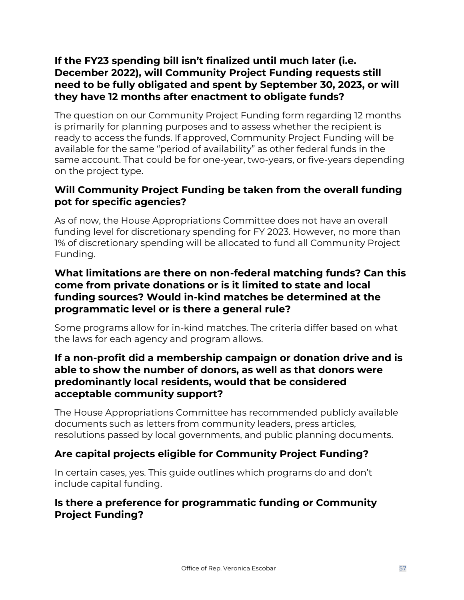# **If the FY23 spending bill isn't finalized until much later (i.e. December 2022), will Community Project Funding requests still need to be fully obligated and spent by September 30, 2023, or will they have 12 months after enactment to obligate funds?**

The question on our Community Project Funding form regarding 12 months is primarily for planning purposes and to assess whether the recipient is ready to access the funds. If approved, Community Project Funding will be available for the same "period of availability" as other federal funds in the same account. That could be for one-year, two-years, or five-years depending on the project type.

# **Will Community Project Funding be taken from the overall funding pot for specific agencies?**

As of now, the House Appropriations Committee does not have an overall funding level for discretionary spending for FY 2023. However, no more than 1% of discretionary spending will be allocated to fund all Community Project Funding.

# **What limitations are there on non-federal matching funds? Can this come from private donations or is it limited to state and local funding sources? Would in-kind matches be determined at the programmatic level or is there a general rule?**

Some programs allow for in-kind matches. The criteria differ based on what the laws for each agency and program allows.

### **If a non-profit did a membership campaign or donation drive and is able to show the number of donors, as well as that donors were predominantly local residents, would that be considered acceptable community support?**

The House Appropriations Committee has recommended publicly available documents such as letters from community leaders, press articles, resolutions passed by local governments, and public planning documents.

# **Are capital projects eligible for Community Project Funding?**

In certain cases, yes. This guide outlines which programs do and don't include capital funding.

## **Is there a preference for programmatic funding or Community Project Funding?**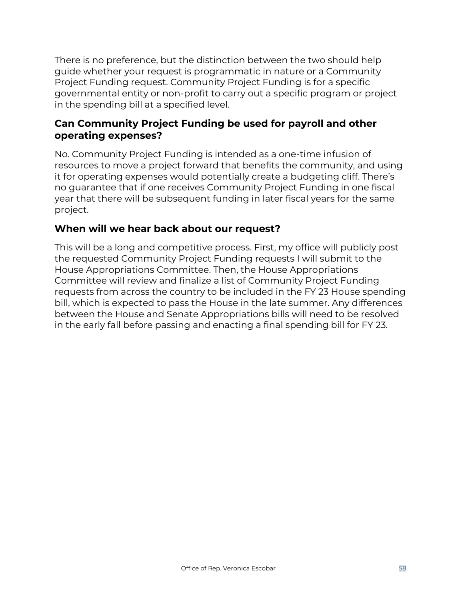There is no preference, but the distinction between the two should help guide whether your request is programmatic in nature or a Community Project Funding request. Community Project Funding is for a specific governmental entity or non-profit to carry out a specific program or project in the spending bill at a specified level.

### **Can Community Project Funding be used for payroll and other operating expenses?**

No. Community Project Funding is intended as a one-time infusion of resources to move a project forward that benefits the community, and using it for operating expenses would potentially create a budgeting cliff. There's no guarantee that if one receives Community Project Funding in one fiscal year that there will be subsequent funding in later fiscal years for the same project.

### **When will we hear back about our request?**

This will be a long and competitive process. First, my office will publicly post the requested Community Project Funding requests I will submit to the House Appropriations Committee. Then, the House Appropriations Committee will review and finalize a list of Community Project Funding requests from across the country to be included in the FY 23 House spending bill, which is expected to pass the House in the late summer. Any differences between the House and Senate Appropriations bills will need to be resolved in the early fall before passing and enacting a final spending bill for FY 23.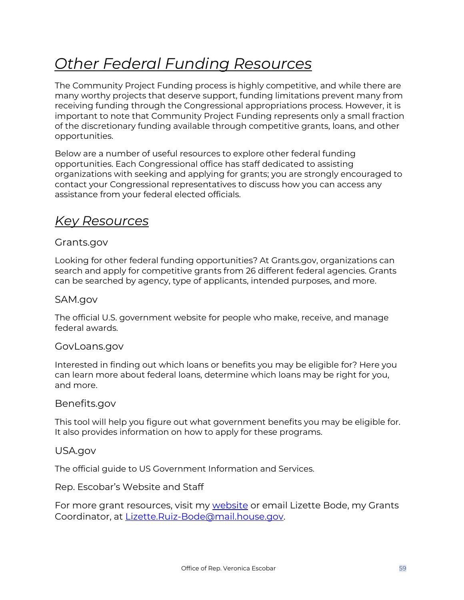# <span id="page-58-0"></span>*Other Federal Funding Resources*

The Community Project Funding process is highly competitive, and while there are many worthy projects that deserve support, funding limitations prevent many from receiving funding through the Congressional appropriations process. However, it is important to note that Community Project Funding represents only a small fraction of the discretionary funding available through competitive grants, loans, and other opportunities.

Below are a number of useful resources to explore other federal funding opportunities. Each Congressional office has staff dedicated to assisting organizations with seeking and applying for grants; you are strongly encouraged to contact your Congressional representatives to discuss how you can access any assistance from your federal elected officials.

# <span id="page-58-1"></span>*Key Resources*

### Grants.gov

Looking for other federal funding opportunities? At Grants.gov, organizations can search and apply for competitive grants from 26 different federal agencies. Grants can be searched by agency, type of applicants, intended purposes, and more.

### SAM.gov

The official U.S. government website for people who make, receive, and manage federal awards.

### GovLoans.gov

Interested in finding out which loans or benefits you may be eligible for? Here you can learn more about federal loans, determine which loans may be right for you, and more.

### Benefits.gov

This tool will help you figure out what government benefits you may be eligible for. It also provides information on how to apply for these programs.

### USA.gov

The official guide to US Government Information and Services.

### Rep. Escobar's Website and Staff

For more grant resources, visit my [website](https://escobar.house.gov/services/grant-applicants.htm) or email Lizette Bode, my Grants Coordinator, at [Lizette.Ruiz-Bode@mail.house.gov.](mailto:Lizette.Ruiz-Bode@mail.house.gov)